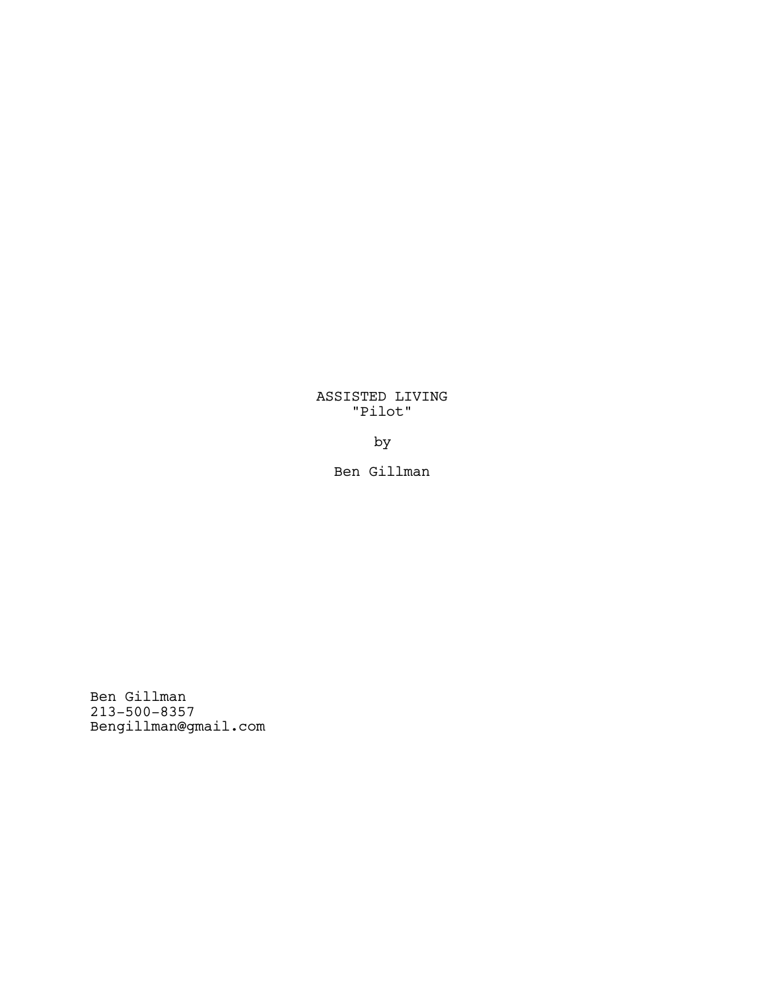# ASSISTED LIVING "Pilot"

by

Ben Gillman

Ben Gillman 213-500-8357 Bengillman@gmail.com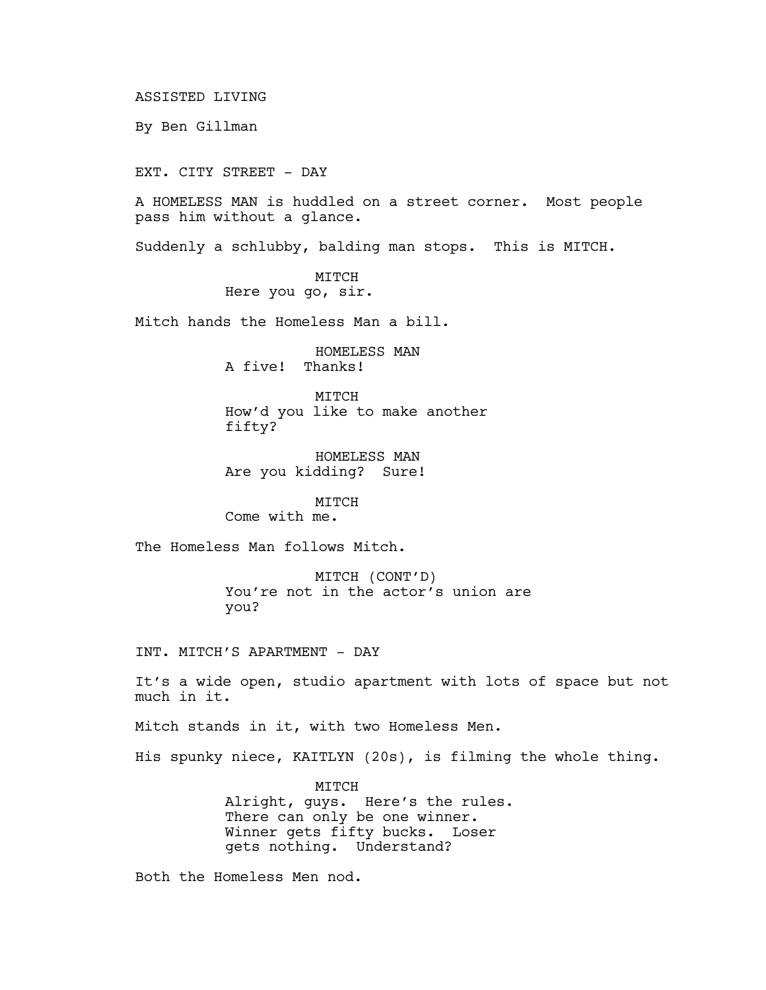ASSISTED LIVING

By Ben Gillman

EXT. CITY STREET - DAY

A HOMELESS MAN is huddled on a street corner. Most people pass him without a glance.

Suddenly a schlubby, balding man stops. This is MITCH.

MITCH Here you go, sir.

Mitch hands the Homeless Man a bill.

HOMELESS MAN A five! Thanks!

MTTCH How'd you like to make another fifty?

HOMELESS MAN Are you kidding? Sure!

MITCH Come with me.

The Homeless Man follows Mitch.

MITCH (CONT'D) You're not in the actor's union are you?

INT. MITCH'S APARTMENT - DAY

It's a wide open, studio apartment with lots of space but not much in it.

Mitch stands in it, with two Homeless Men.

His spunky niece, KAITLYN (20s), is filming the whole thing.

MITCH Alright, guys. Here's the rules. There can only be one winner. Winner gets fifty bucks. Loser gets nothing. Understand?

Both the Homeless Men nod.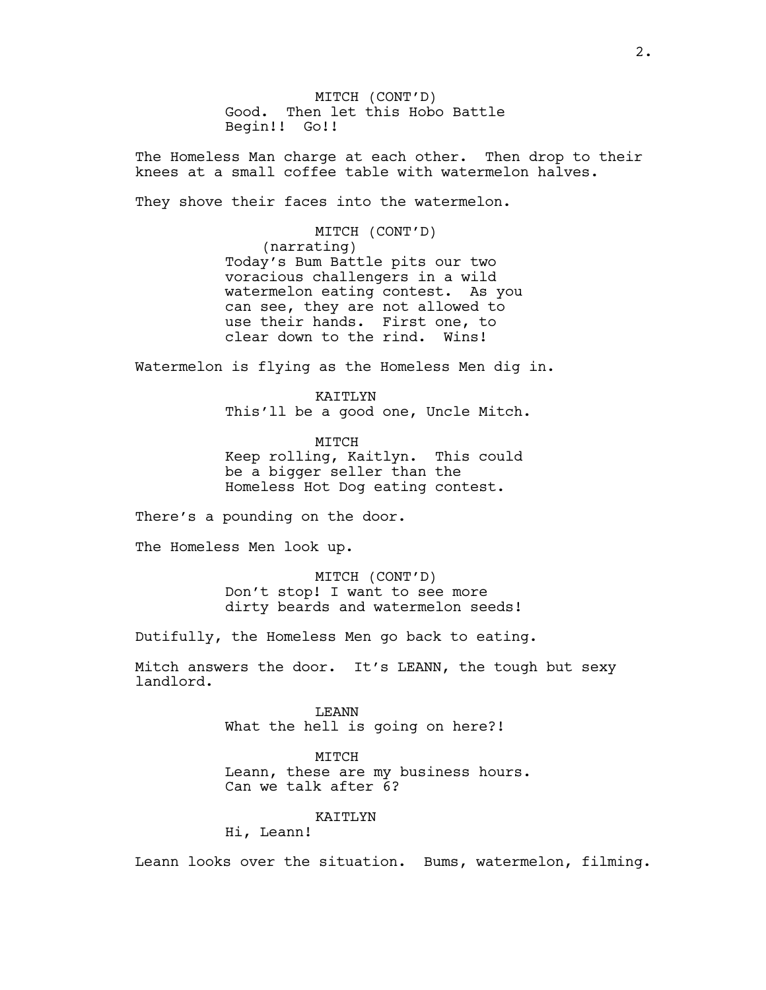MITCH (CONT'D) Good. Then let this Hobo Battle Begin!! Go!!

The Homeless Man charge at each other. Then drop to their knees at a small coffee table with watermelon halves.

They shove their faces into the watermelon.

MITCH (CONT'D) (narrating) Today's Bum Battle pits our two voracious challengers in a wild watermelon eating contest. As you can see, they are not allowed to use their hands. First one, to clear down to the rind. Wins!

Watermelon is flying as the Homeless Men dig in.

KAITLYN This'll be a good one, Uncle Mitch.

MITCH Keep rolling, Kaitlyn. This could be a bigger seller than the Homeless Hot Dog eating contest.

There's a pounding on the door.

The Homeless Men look up.

MITCH (CONT'D) Don't stop! I want to see more dirty beards and watermelon seeds!

Dutifully, the Homeless Men go back to eating.

Mitch answers the door. It's LEANN, the tough but sexy landlord.

> LEANN What the hell is going on here?!

MITCH Leann, these are my business hours. Can we talk after 6?

KAITLYN

Hi, Leann!

Leann looks over the situation. Bums, watermelon, filming.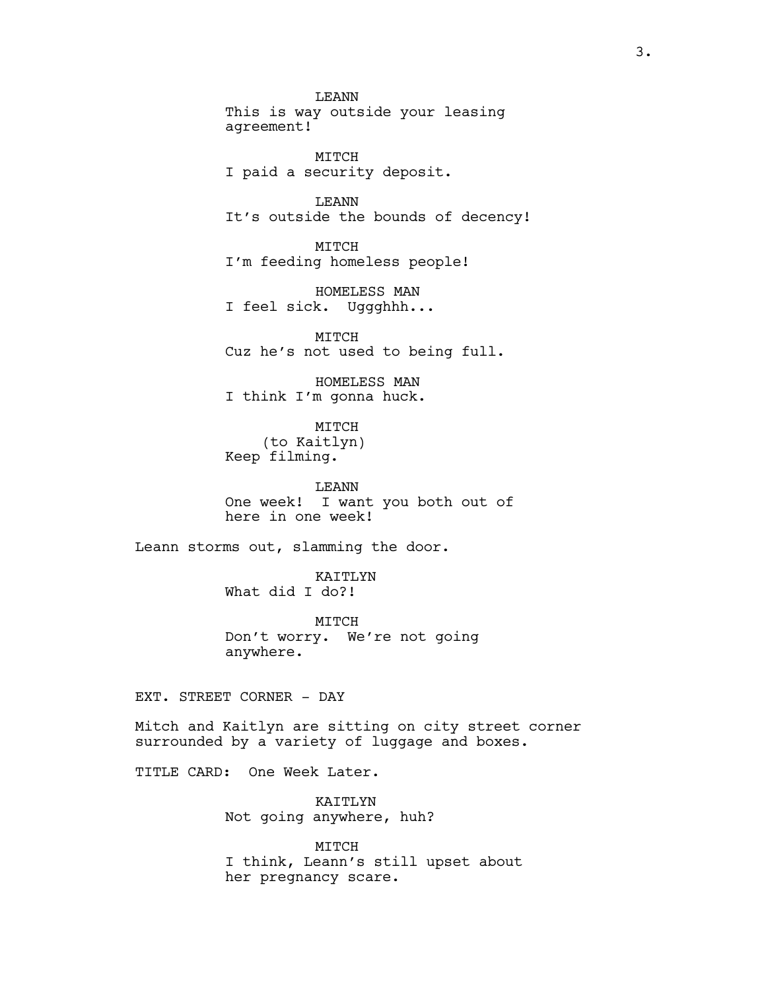LEANN This is way outside your leasing agreement!

MITCH I paid a security deposit.

LEANN It's outside the bounds of decency!

MITCH I'm feeding homeless people!

HOMELESS MAN I feel sick. Uggghhh...

MITCH Cuz he's not used to being full.

HOMELESS MAN I think I'm gonna huck.

MITCH (to Kaitlyn) Keep filming.

LEANN One week! I want you both out of here in one week!

Leann storms out, slamming the door.

KAITLYN What did I do?!

MITCH Don't worry. We're not going anywhere.

EXT. STREET CORNER - DAY

Mitch and Kaitlyn are sitting on city street corner surrounded by a variety of luggage and boxes.

TITLE CARD: One Week Later.

KAITLYN Not going anywhere, huh?

MITCH I think, Leann's still upset about her pregnancy scare.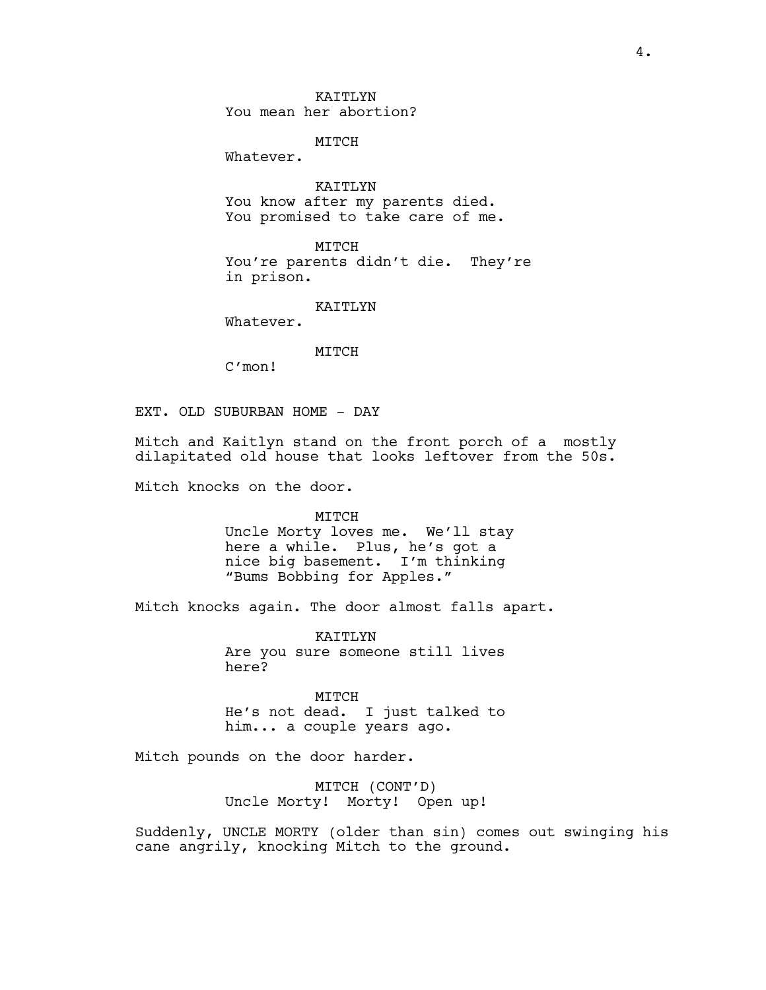KATTLYN You mean her abortion?

MITCH

Whatever.

KAITLYN You know after my parents died. You promised to take care of me.

MITCH You're parents didn't die. They're in prison.

KAITLYN

Whatever.

MITCH

C'mon!

EXT. OLD SUBURBAN HOME - DAY

Mitch and Kaitlyn stand on the front porch of a mostly dilapitated old house that looks leftover from the 50s.

Mitch knocks on the door.

MITCH Uncle Morty loves me. We'll stay here a while. Plus, he's got a nice big basement. I'm thinking "Bums Bobbing for Apples."

Mitch knocks again. The door almost falls apart.

KAITLYN Are you sure someone still lives here?

MITCH He's not dead. I just talked to him... a couple years ago.

Mitch pounds on the door harder.

MITCH (CONT'D) Uncle Morty! Morty! Open up!

Suddenly, UNCLE MORTY (older than sin) comes out swinging his cane angrily, knocking Mitch to the ground.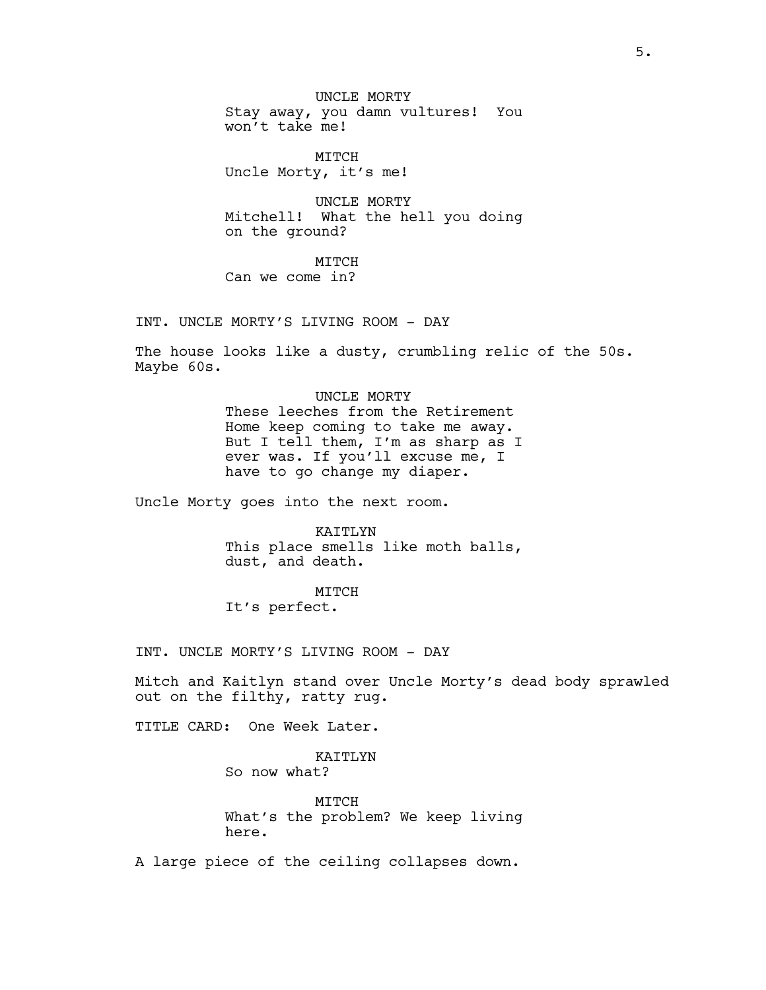UNCLE MORTY Stay away, you damn vultures! You won't take me!

MITCH Uncle Morty, it's me!

UNCLE MORTY Mitchell! What the hell you doing on the ground?

MITCH Can we come in?

INT. UNCLE MORTY'S LIVING ROOM - DAY

The house looks like a dusty, crumbling relic of the 50s. Maybe 60s.

> UNCLE MORTY These leeches from the Retirement Home keep coming to take me away. But I tell them, I'm as sharp as I ever was. If you'll excuse me, I have to go change my diaper.

Uncle Morty goes into the next room.

KATTLYN This place smells like moth balls, dust, and death.

MITCH It's perfect.

INT. UNCLE MORTY'S LIVING ROOM - DAY

Mitch and Kaitlyn stand over Uncle Morty's dead body sprawled out on the filthy, ratty rug.

TITLE CARD: One Week Later.

KAITLYN So now what?

MITCH What's the problem? We keep living here.

A large piece of the ceiling collapses down.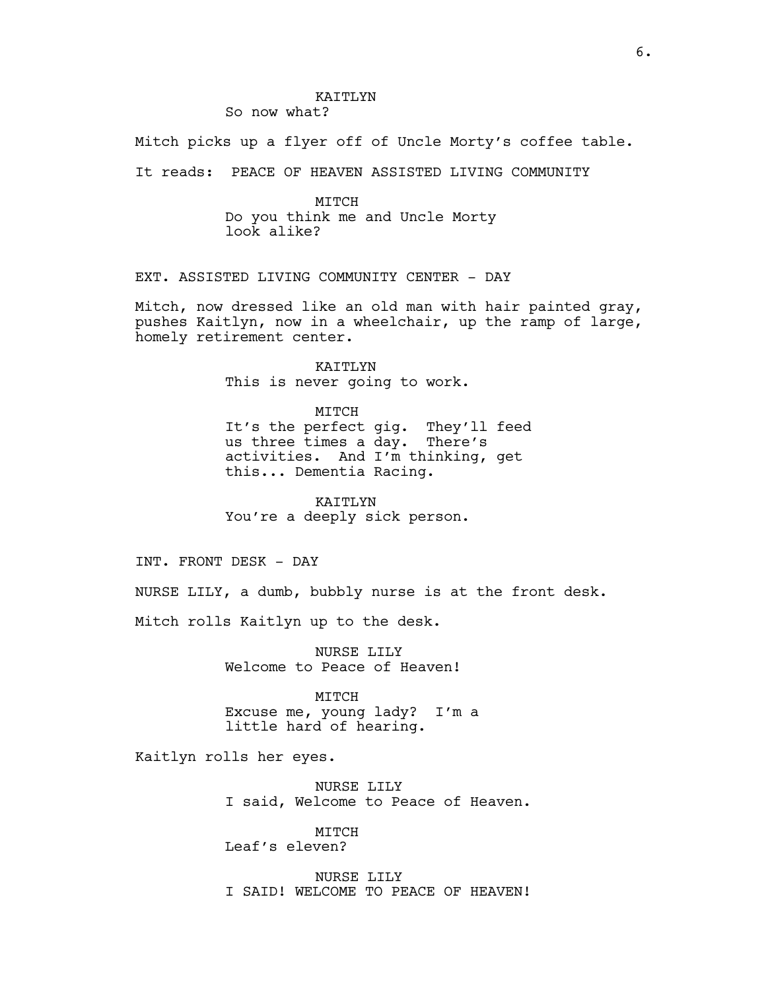### KATTLYN So now what?

Mitch picks up a flyer off of Uncle Morty's coffee table.

It reads: PEACE OF HEAVEN ASSISTED LIVING COMMUNITY

MITCH Do you think me and Uncle Morty look alike?

EXT. ASSISTED LIVING COMMUNITY CENTER - DAY

Mitch, now dressed like an old man with hair painted gray, pushes Kaitlyn, now in a wheelchair, up the ramp of large, homely retirement center.

> KAITLYN This is never going to work.

> > MITCH

It's the perfect gig. They'll feed us three times a day. There's activities. And I'm thinking, get this... Dementia Racing.

KAITLYN You're a deeply sick person.

INT. FRONT DESK - DAY

NURSE LILY, a dumb, bubbly nurse is at the front desk.

Mitch rolls Kaitlyn up to the desk.

NURSE LILY Welcome to Peace of Heaven!

MITCH Excuse me, young lady? I'm a little hard of hearing.

Kaitlyn rolls her eyes.

NURSE LILY I said, Welcome to Peace of Heaven.

MITCH Leaf's eleven?

NURSE LILY I SAID! WELCOME TO PEACE OF HEAVEN!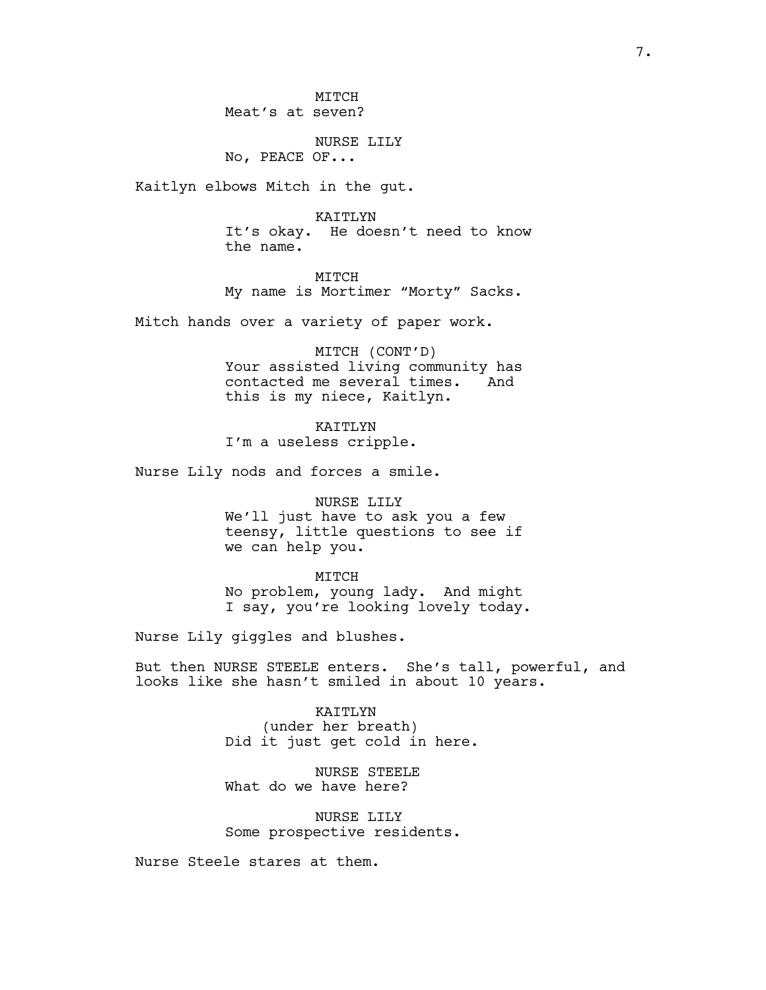MTTCH Meat's at seven?

NURSE LILY No, PEACE OF...

Kaitlyn elbows Mitch in the gut.

KAITLYN

It's okay. He doesn't need to know the name.

MITCH My name is Mortimer "Morty" Sacks.

Mitch hands over a variety of paper work.

MITCH (CONT'D) Your assisted living community has contacted me several times. And this is my niece, Kaitlyn.

KAITLYN I'm a useless cripple.

Nurse Lily nods and forces a smile.

NURSE LILY We'll just have to ask you a few teensy, little questions to see if we can help you.

MITCH No problem, young lady. And might I say, you're looking lovely today.

Nurse Lily giggles and blushes.

But then NURSE STEELE enters. She's tall, powerful, and looks like she hasn't smiled in about 10 years.

> KAITLYN (under her breath) Did it just get cold in here.

NURSE STEELE What do we have here?

NURSE LILY Some prospective residents.

Nurse Steele stares at them.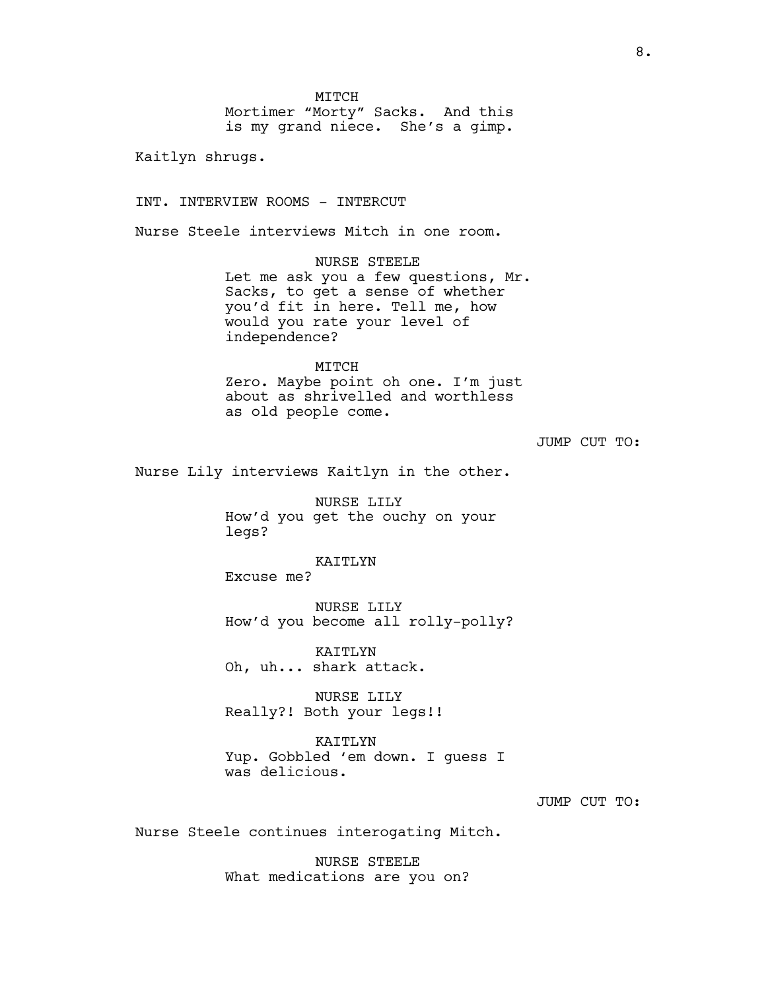MITCH

Mortimer "Morty" Sacks. And this is my grand niece. She's a gimp.

Kaitlyn shrugs.

INT. INTERVIEW ROOMS - INTERCUT

Nurse Steele interviews Mitch in one room.

NURSE STEELE Let me ask you a few questions, Mr. Sacks, to get a sense of whether you'd fit in here. Tell me, how would you rate your level of independence?

MITCH Zero. Maybe point oh one. I'm just about as shrivelled and worthless as old people come.

## JUMP CUT TO:

Nurse Lily interviews Kaitlyn in the other.

NURSE LILY How'd you get the ouchy on your legs?

### KAITLYN

Excuse me?

NURSE LILY How'd you become all rolly-polly?

KAITLYN Oh, uh... shark attack.

NURSE LILY Really?! Both your legs!!

KAITLYN Yup. Gobbled 'em down. I guess I was delicious.

JUMP CUT TO:

Nurse Steele continues interogating Mitch.

NURSE STEELE What medications are you on?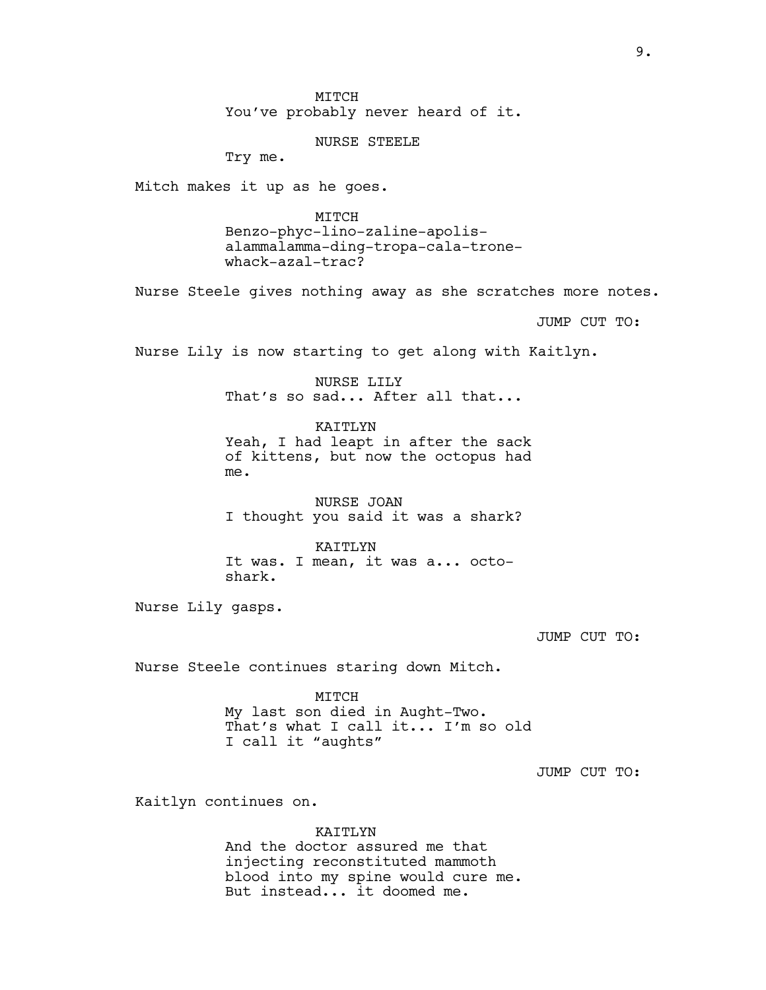MITCH You've probably never heard of it.

NURSE STEELE

Try me.

Mitch makes it up as he goes.

MITCH Benzo-phyc-lino-zaline-apolisalammalamma-ding-tropa-cala-tronewhack-azal-trac?

Nurse Steele gives nothing away as she scratches more notes.

JUMP CUT TO:

Nurse Lily is now starting to get along with Kaitlyn.

NURSE LILY That's so sad... After all that...

KAITLYN Yeah, I had leapt in after the sack of kittens, but now the octopus had me.

NURSE JOAN I thought you said it was a shark?

KAITLYN It was. I mean, it was a... octoshark.

Nurse Lily gasps.

JUMP CUT TO:

Nurse Steele continues staring down Mitch.

MITCH My last son died in Aught-Two. That's what I call it... I'm so old I call it "aughts"

JUMP CUT TO:

Kaitlyn continues on.

KAITLYN

And the doctor assured me that injecting reconstituted mammoth blood into my spine would cure me. But instead... it doomed me.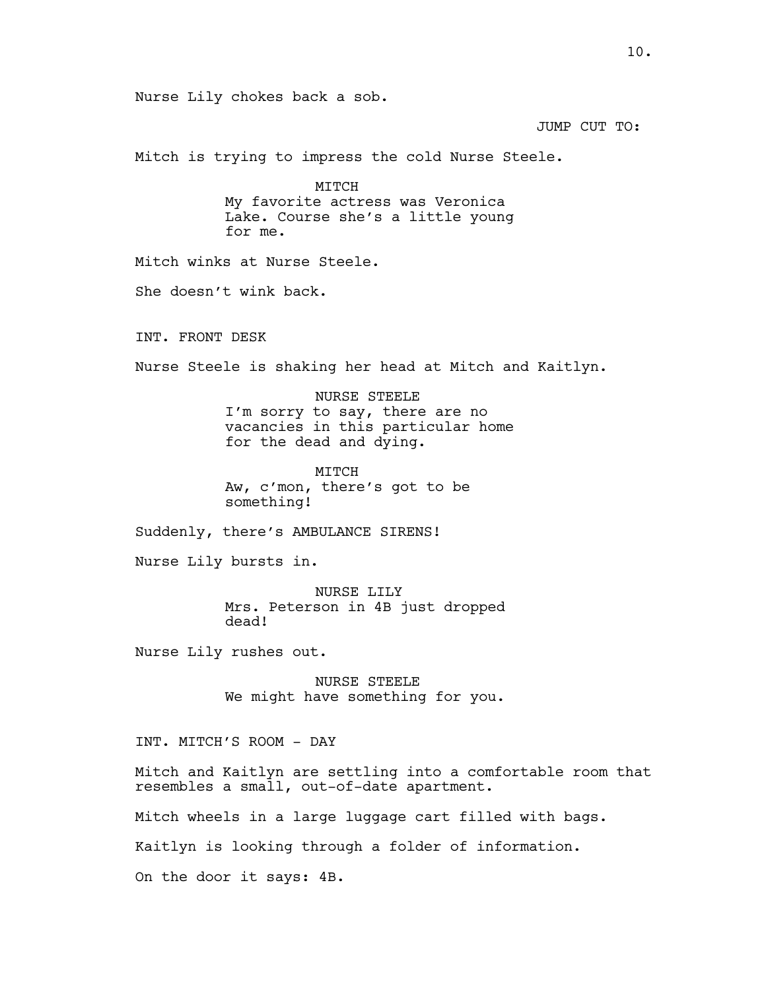Nurse Lily chokes back a sob. JUMP CUT TO: Mitch is trying to impress the cold Nurse Steele. MITCH My favorite actress was Veronica Lake. Course she's a little young for me. Mitch winks at Nurse Steele. She doesn't wink back. INT. FRONT DESK Nurse Steele is shaking her head at Mitch and Kaitlyn. NURSE STEELE I'm sorry to say, there are no vacancies in this particular home for the dead and dying. MITCH Aw, c'mon, there's got to be something! Suddenly, there's AMBULANCE SIRENS! Nurse Lily bursts in. NURSE LILY Mrs. Peterson in 4B just dropped dead! Nurse Lily rushes out. NURSE STEELE We might have something for you. INT. MITCH'S ROOM - DAY Mitch and Kaitlyn are settling into a comfortable room that resembles a small, out-of-date apartment. Mitch wheels in a large luggage cart filled with bags. Kaitlyn is looking through a folder of information. On the door it says: 4B.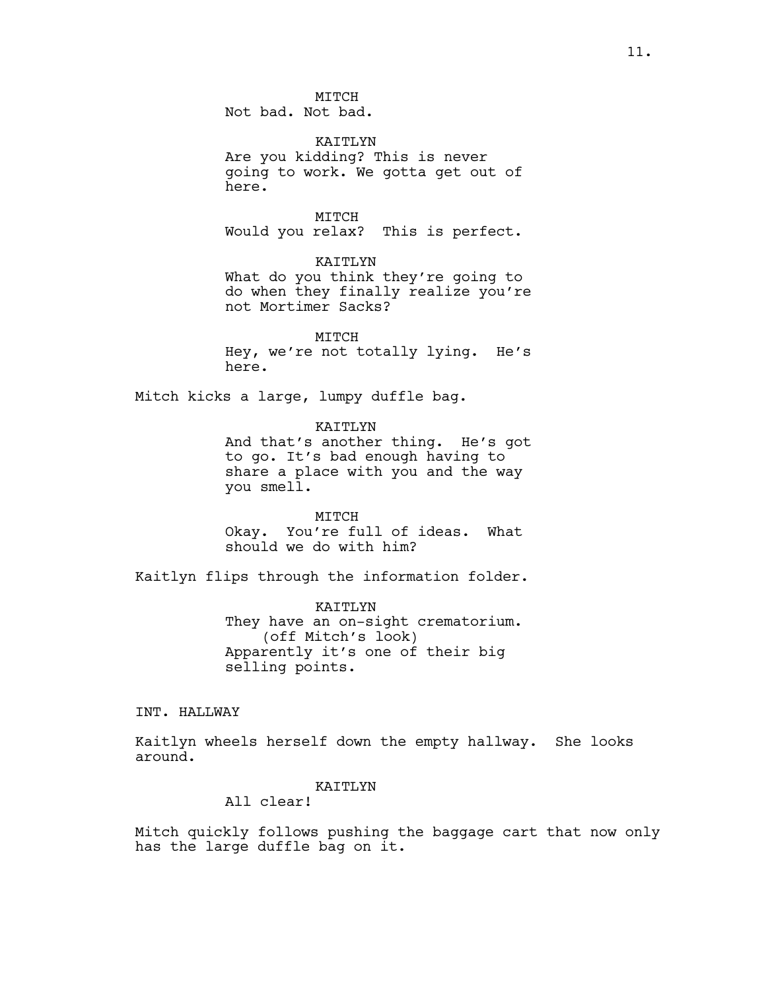MTTCH Not bad. Not bad.

KAITLYN Are you kidding? This is never going to work. We gotta get out of here.

MITCH Would you relax? This is perfect.

KAITLYN What do you think they're going to do when they finally realize you're not Mortimer Sacks?

MITCH Hey, we're not totally lying. He's here.

Mitch kicks a large, lumpy duffle bag.

KATTLYN

And that's another thing. He's got to go. It's bad enough having to share a place with you and the way you smell.

MITCH Okay. You're full of ideas. What should we do with him?

Kaitlyn flips through the information folder.

KAITLYN They have an on-sight crematorium. (off Mitch's look) Apparently it's one of their big selling points.

INT. HALLWAY

Kaitlyn wheels herself down the empty hallway. She looks around.

KATTLYN

All clear!

Mitch quickly follows pushing the baggage cart that now only has the large duffle bag on it.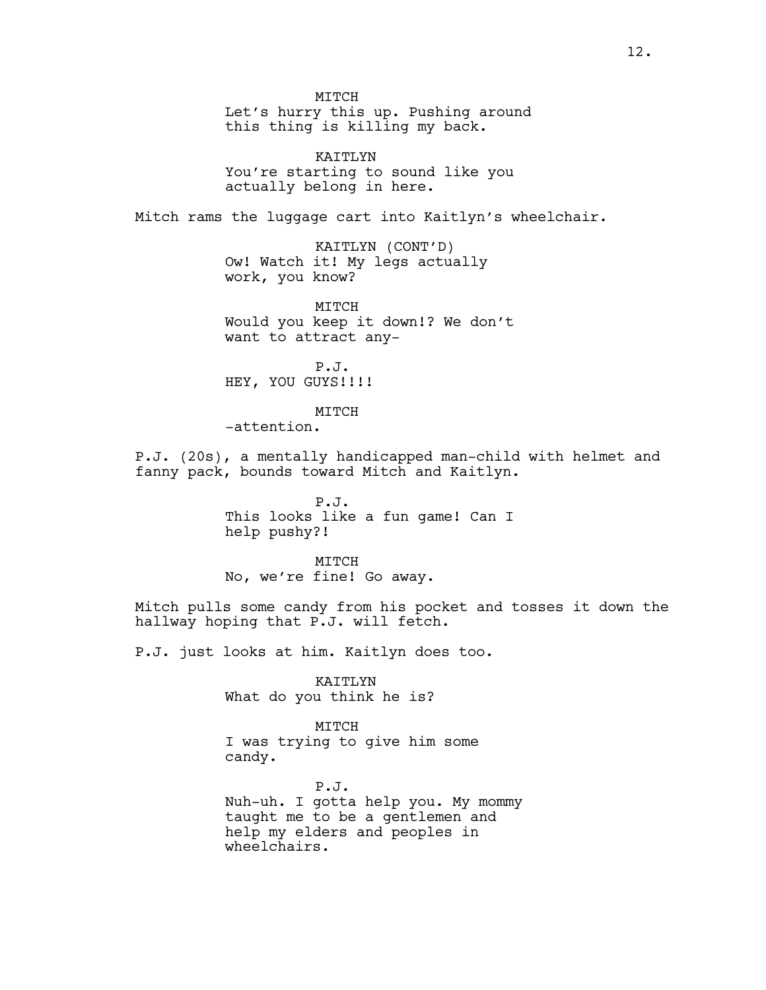MITCH Let's hurry this up. Pushing around this thing is killing my back.

KAITLYN You're starting to sound like you actually belong in here.

Mitch rams the luggage cart into Kaitlyn's wheelchair.

KAITLYN (CONT'D) Ow! Watch it! My legs actually work, you know?

MITCH Would you keep it down!? We don't want to attract any-

P.J. HEY, YOU GUYS!!!!

MITCH -attention.

P.J. (20s), a mentally handicapped man-child with helmet and fanny pack, bounds toward Mitch and Kaitlyn.

> P.J. This looks like a fun game! Can I help pushy?!

MTTCH No, we're fine! Go away.

Mitch pulls some candy from his pocket and tosses it down the hallway hoping that P.J. will fetch.

P.J. just looks at him. Kaitlyn does too.

KAITLYN What do you think he is?

MITCH I was trying to give him some candy.

P.J. Nuh-uh. I gotta help you. My mommy taught me to be a gentlemen and help my elders and peoples in wheelchairs.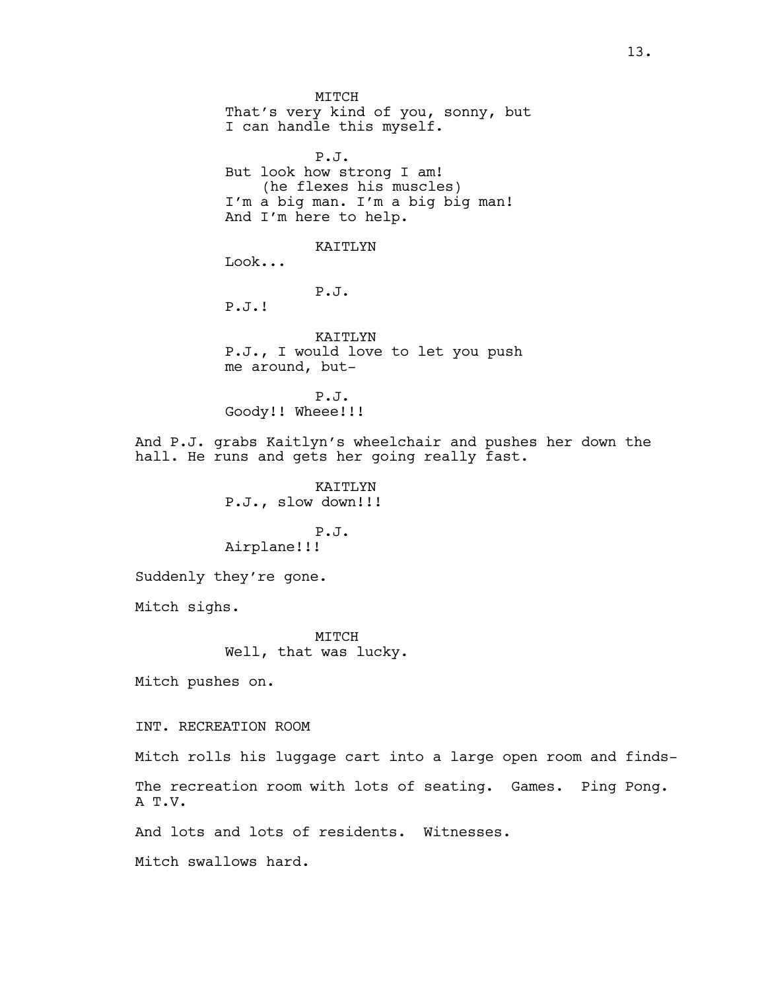MITCH That's very kind of you, sonny, but I can handle this myself. P.J. But look how strong I am! (he flexes his muscles) I'm a big man. I'm a big big man! And I'm here to help. KAITLYN Look... P.J. P.J.! KAITLYN P.J., I would love to let you push me around, but-P.J. Goody!! Wheee!!! And P.J. grabs Kaitlyn's wheelchair and pushes her down the hall. He runs and gets her going really fast. KAITLYN P.J., slow down!!! P.J. Airplane!!! Suddenly they're gone. Mitch sighs. MITCH Well, that was lucky. Mitch pushes on. INT. RECREATION ROOM Mitch rolls his luggage cart into a large open room and finds-The recreation room with lots of seating. Games. Ping Pong. A T.V.

And lots and lots of residents. Witnesses.

Mitch swallows hard.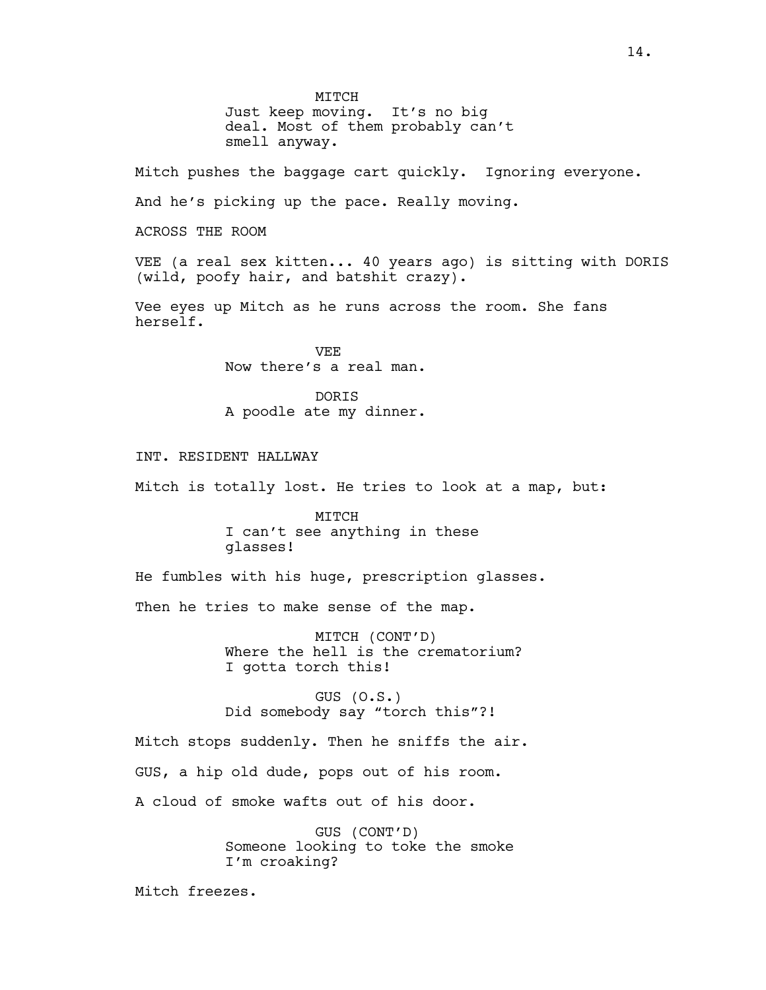MTTCH Just keep moving. It's no big deal. Most of them probably can't smell anyway.

Mitch pushes the baggage cart quickly. Ignoring everyone.

And he's picking up the pace. Really moving.

ACROSS THE ROOM

VEE (a real sex kitten... 40 years ago) is sitting with DORIS (wild, poofy hair, and batshit crazy).

Vee eyes up Mitch as he runs across the room. She fans herself.

> VEE Now there's a real man.

**DORTS** A poodle ate my dinner.

## INT. RESIDENT HALLWAY

Mitch is totally lost. He tries to look at a map, but:

MITCH I can't see anything in these glasses!

He fumbles with his huge, prescription glasses.

Then he tries to make sense of the map.

MITCH (CONT'D) Where the hell is the crematorium? I gotta torch this!

GUS (O.S.) Did somebody say "torch this"?!

Mitch stops suddenly. Then he sniffs the air. GUS, a hip old dude, pops out of his room. A cloud of smoke wafts out of his door.

> GUS (CONT'D) Someone looking to toke the smoke I'm croaking?

Mitch freezes.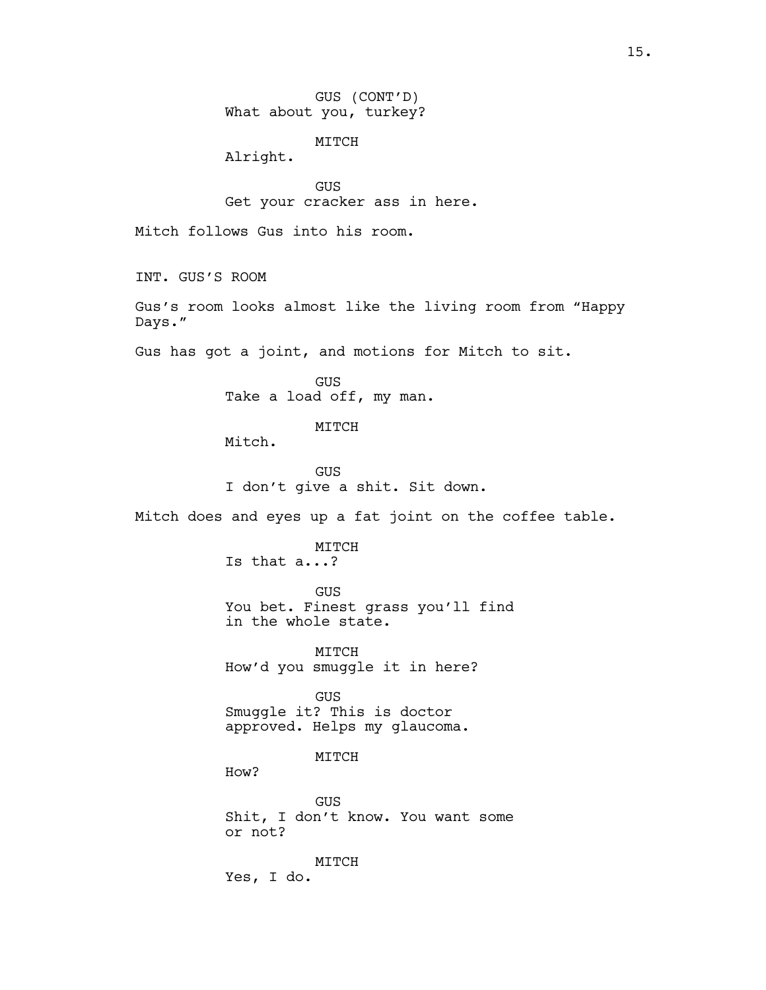GUS (CONT'D) What about you, turkey? MITCH Alright. GUS Get your cracker ass in here. Mitch follows Gus into his room. INT. GUS'S ROOM Gus's room looks almost like the living room from "Happy Days." Gus has got a joint, and motions for Mitch to sit. GUS Take a load off, my man. MITCH Mitch. GUS I don't give a shit. Sit down. Mitch does and eyes up a fat joint on the coffee table. MITCH Is that a...? GUS You bet. Finest grass you'll find in the whole state. MITCH How'd you smuggle it in here? GUS Smuggle it? This is doctor approved. Helps my glaucoma. MITCH How? GUS Shit, I don't know. You want some or not? MITCH Yes, I do.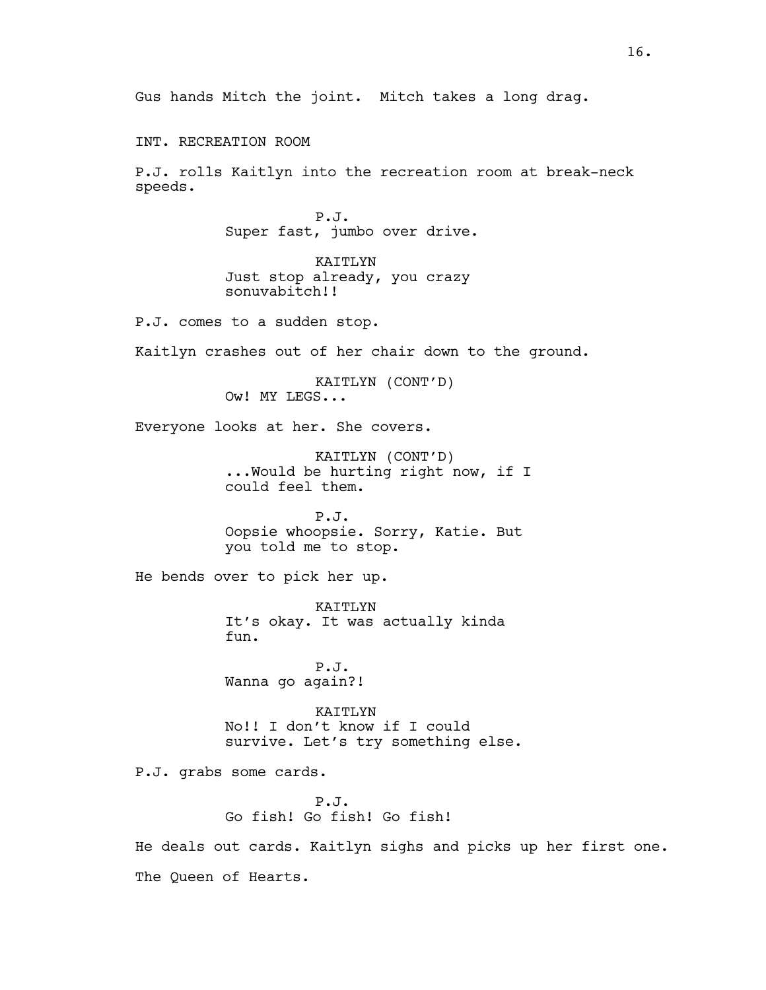INT. RECREATION ROOM

P.J. rolls Kaitlyn into the recreation room at break-neck speeds.

> P.J. Super fast, jumbo over drive.

KAITLYN Just stop already, you crazy sonuvabitch!!

P.J. comes to a sudden stop.

Kaitlyn crashes out of her chair down to the ground.

KAITLYN (CONT'D) Ow! MY LEGS...

Everyone looks at her. She covers.

KAITLYN (CONT'D) ...Would be hurting right now, if I could feel them.

P.J. Oopsie whoopsie. Sorry, Katie. But you told me to stop.

He bends over to pick her up.

KAITLYN It's okay. It was actually kinda fun.

P.J. Wanna go again?!

KAITLYN No!! I don't know if I could survive. Let's try something else.

P.J. grabs some cards.

P.J. Go fish! Go fish! Go fish!

He deals out cards. Kaitlyn sighs and picks up her first one. The Queen of Hearts.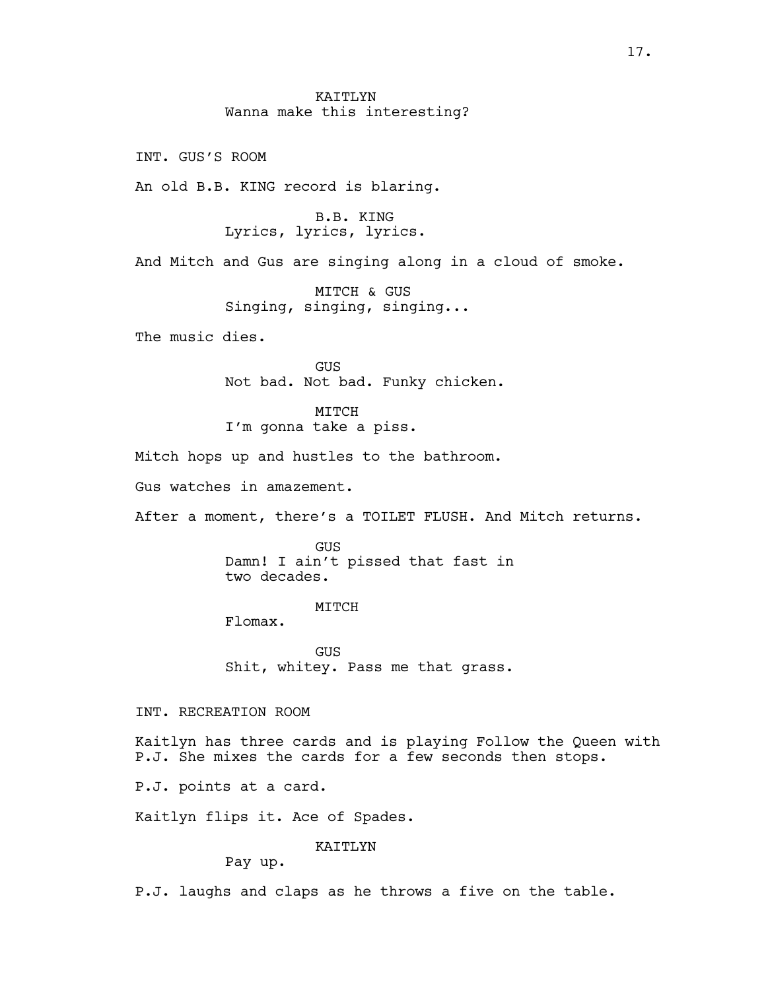KATTLYN Wanna make this interesting?

INT. GUS'S ROOM

An old B.B. KING record is blaring.

B.B. KING Lyrics, lyrics, lyrics.

And Mitch and Gus are singing along in a cloud of smoke.

MITCH & GUS Singing, singing, singing...

The music dies.

GUS Not bad. Not bad. Funky chicken.

MITCH I'm gonna take a piss.

Mitch hops up and hustles to the bathroom.

Gus watches in amazement.

After a moment, there's a TOILET FLUSH. And Mitch returns.

GUS Damn! I ain't pissed that fast in two decades.

MITCH

Flomax.

GUS Shit, whitey. Pass me that grass.

INT. RECREATION ROOM

Kaitlyn has three cards and is playing Follow the Queen with P.J. She mixes the cards for a few seconds then stops.

P.J. points at a card.

Kaitlyn flips it. Ace of Spades.

KAITLYN

Pay up.

P.J. laughs and claps as he throws a five on the table.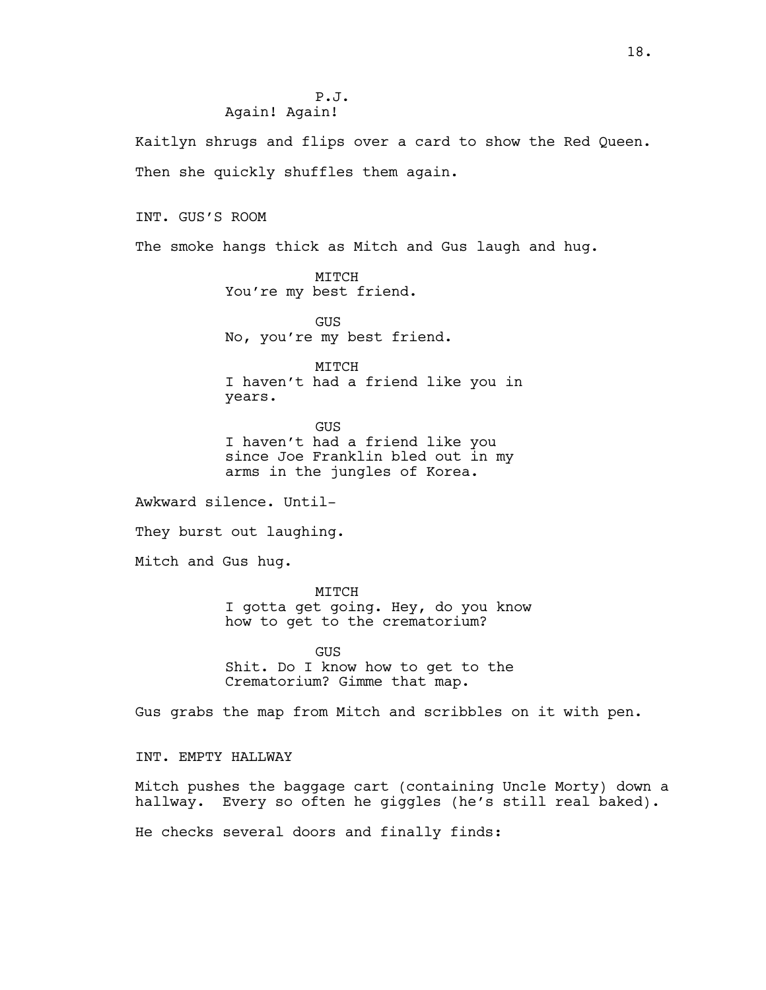## P.J. Again! Again!

Kaitlyn shrugs and flips over a card to show the Red Queen. Then she quickly shuffles them again.

INT. GUS'S ROOM

The smoke hangs thick as Mitch and Gus laugh and hug.

MITCH You're my best friend.

GUS No, you're my best friend.

MITCH I haven't had a friend like you in years.

GUS I haven't had a friend like you since Joe Franklin bled out in my arms in the jungles of Korea.

Awkward silence. Until-

They burst out laughing.

Mitch and Gus hug.

MTTCH I gotta get going. Hey, do you know how to get to the crematorium?

GUS Shit. Do I know how to get to the Crematorium? Gimme that map.

Gus grabs the map from Mitch and scribbles on it with pen.

INT. EMPTY HALLWAY

Mitch pushes the baggage cart (containing Uncle Morty) down a hallway. Every so often he giggles (he's still real baked).

He checks several doors and finally finds: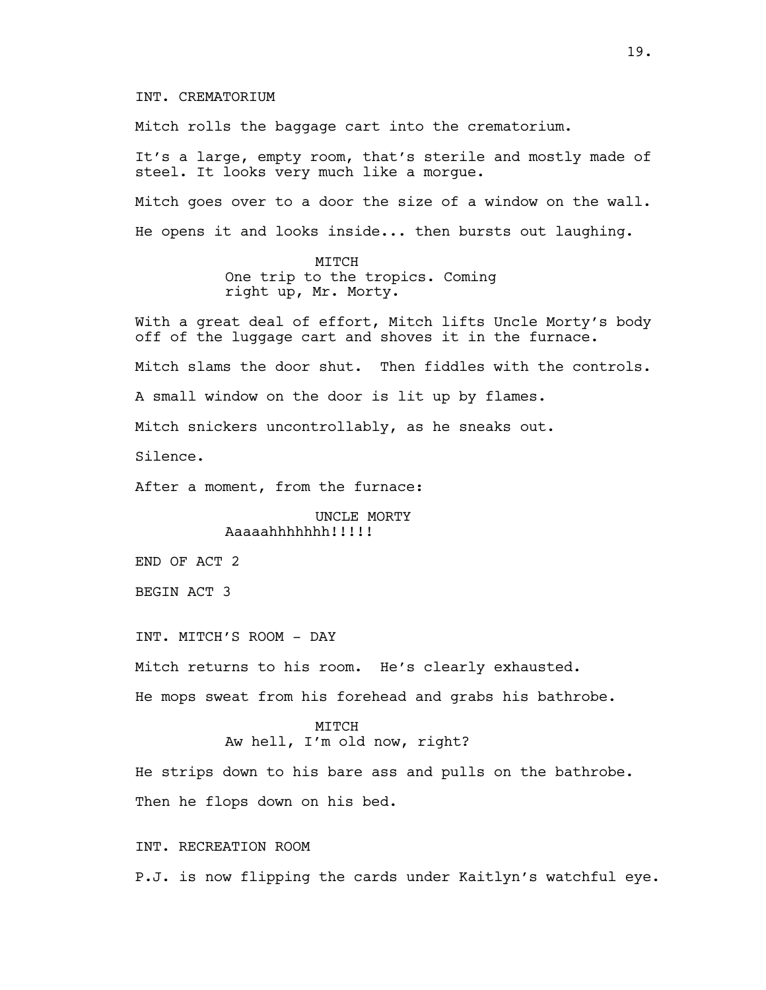INT. CREMATORIUM

Mitch rolls the baggage cart into the crematorium.

It's a large, empty room, that's sterile and mostly made of steel. It looks very much like a morgue.

Mitch goes over to a door the size of a window on the wall. He opens it and looks inside... then bursts out laughing.

> MITCH One trip to the tropics. Coming right up, Mr. Morty.

With a great deal of effort, Mitch lifts Uncle Morty's body off of the luggage cart and shoves it in the furnace.

Mitch slams the door shut. Then fiddles with the controls.

A small window on the door is lit up by flames.

Mitch snickers uncontrollably, as he sneaks out.

Silence.

After a moment, from the furnace:

UNCLE MORTY Aaaaahhhhhhh!!!!!

END OF ACT 2

BEGIN ACT 3

INT. MITCH'S ROOM - DAY

Mitch returns to his room. He's clearly exhausted.

He mops sweat from his forehead and grabs his bathrobe.

MTTCH Aw hell, I'm old now, right?

He strips down to his bare ass and pulls on the bathrobe. Then he flops down on his bed.

INT. RECREATION ROOM

P.J. is now flipping the cards under Kaitlyn's watchful eye.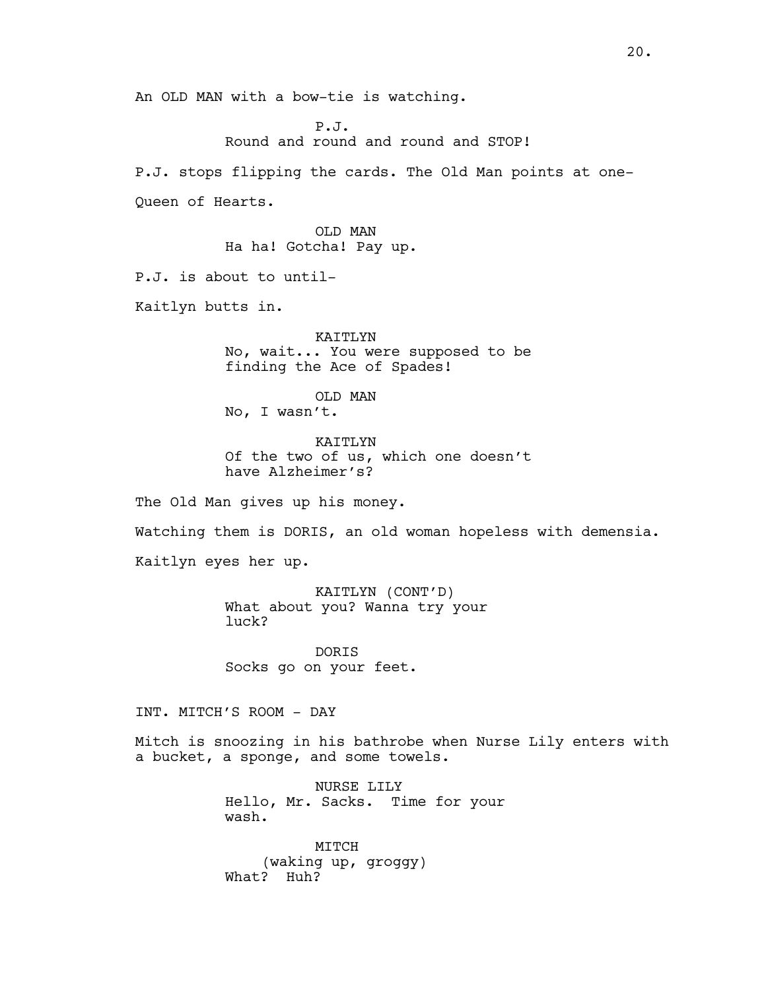An OLD MAN with a bow-tie is watching.

P.J. Round and round and round and STOP!

P.J. stops flipping the cards. The Old Man points at one-

Queen of Hearts.

OLD MAN Ha ha! Gotcha! Pay up.

P.J. is about to until-

Kaitlyn butts in.

KAITLYN No, wait... You were supposed to be finding the Ace of Spades!

OLD MAN No, I wasn't.

KAITLYN

Of the two of us, which one doesn't have Alzheimer's?

The Old Man gives up his money.

Watching them is DORIS, an old woman hopeless with demensia.

Kaitlyn eyes her up.

KAITLYN (CONT'D) What about you? Wanna try your luck?

DORIS Socks go on your feet.

INT. MITCH'S ROOM - DAY

Mitch is snoozing in his bathrobe when Nurse Lily enters with a bucket, a sponge, and some towels.

> NURSE LILY Hello, Mr. Sacks. Time for your wash.

MITCH (waking up, groggy) What? Huh?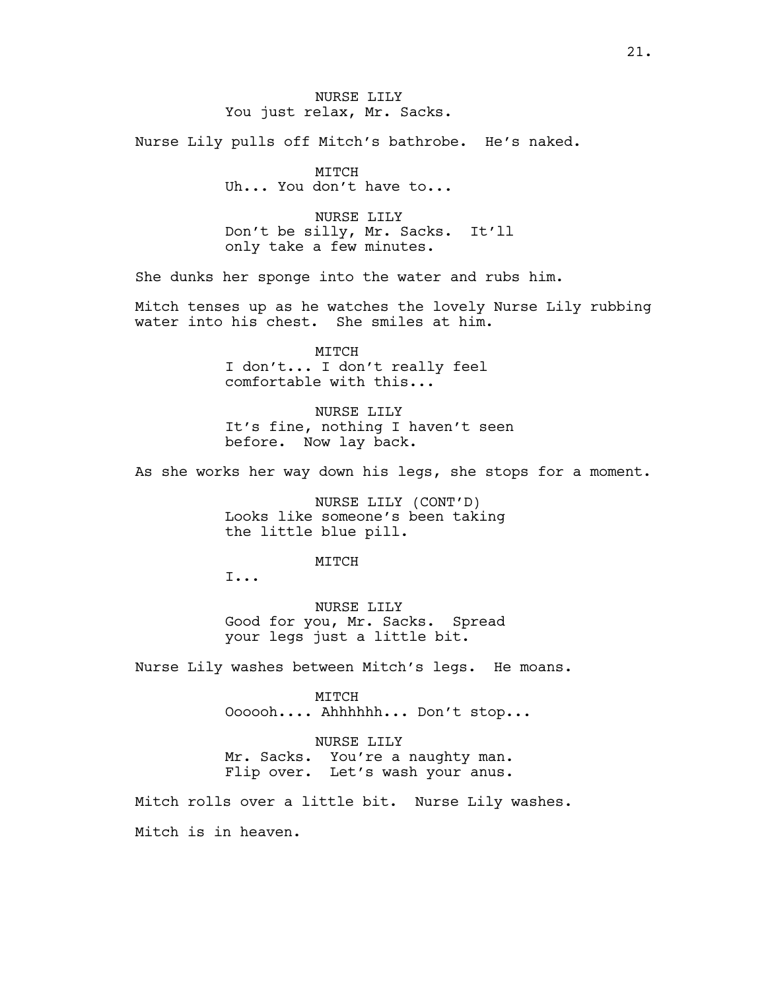## NURSE LILY You just relax, Mr. Sacks.

Nurse Lily pulls off Mitch's bathrobe. He's naked.

MITCH Uh... You don't have to...

NURSE LILY Don't be silly, Mr. Sacks. It'll only take a few minutes.

She dunks her sponge into the water and rubs him.

Mitch tenses up as he watches the lovely Nurse Lily rubbing water into his chest. She smiles at him.

> MITCH I don't... I don't really feel comfortable with this...

NURSE LILY It's fine, nothing I haven't seen before. Now lay back.

As she works her way down his legs, she stops for a moment.

NURSE LILY (CONT'D) Looks like someone's been taking the little blue pill.

### MTTCH

I...

NURSE LILY Good for you, Mr. Sacks. Spread your legs just a little bit.

Nurse Lily washes between Mitch's legs. He moans.

MITCH Oooooh.... Ahhhhhh... Don't stop...

### NURSE LILY

Mr. Sacks. You're a naughty man. Flip over. Let's wash your anus.

Mitch rolls over a little bit. Nurse Lily washes. Mitch is in heaven.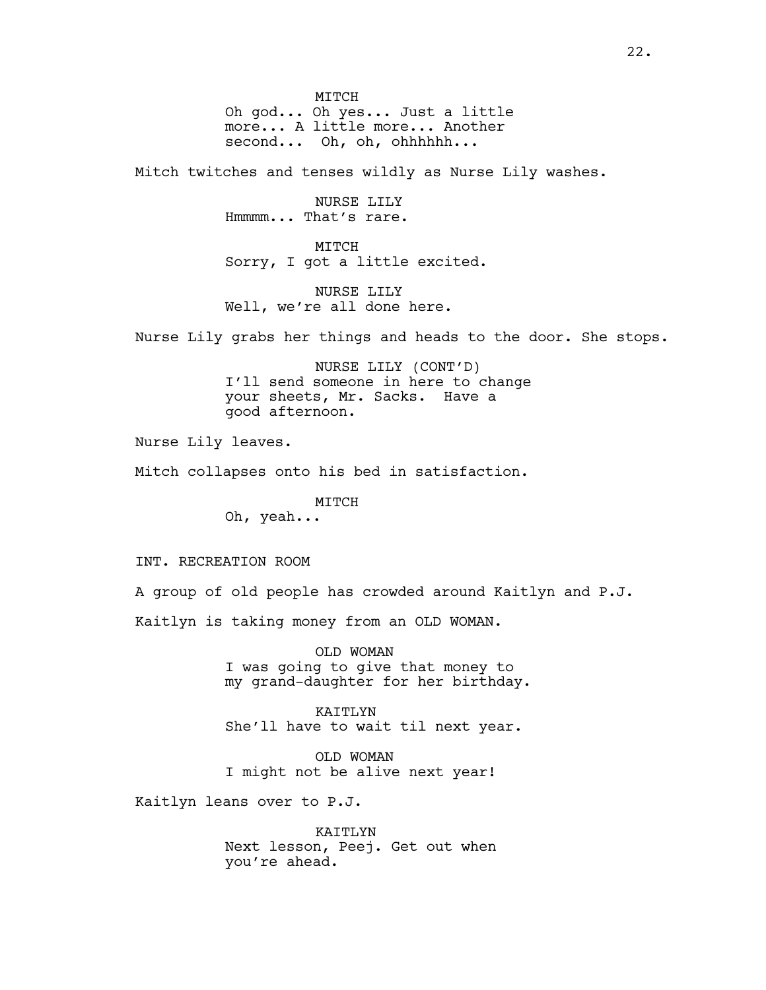MITCH Oh god... Oh yes... Just a little more... A little more... Another second... Oh, oh, ohhhhhh...

Mitch twitches and tenses wildly as Nurse Lily washes.

NURSE LILY Hmmmm... That's rare.

MITCH Sorry, I got a little excited.

NURSE LILY Well, we're all done here.

Nurse Lily grabs her things and heads to the door. She stops.

NURSE LILY (CONT'D) I'll send someone in here to change your sheets, Mr. Sacks. Have a good afternoon.

Nurse Lily leaves.

Mitch collapses onto his bed in satisfaction.

MITCH Oh, yeah...

INT. RECREATION ROOM

A group of old people has crowded around Kaitlyn and P.J.

Kaitlyn is taking money from an OLD WOMAN.

OLD WOMAN I was going to give that money to my grand-daughter for her birthday.

KAITLYN She'll have to wait til next year.

OLD WOMAN I might not be alive next year!

Kaitlyn leans over to P.J.

KAITLYN Next lesson, Peej. Get out when you're ahead.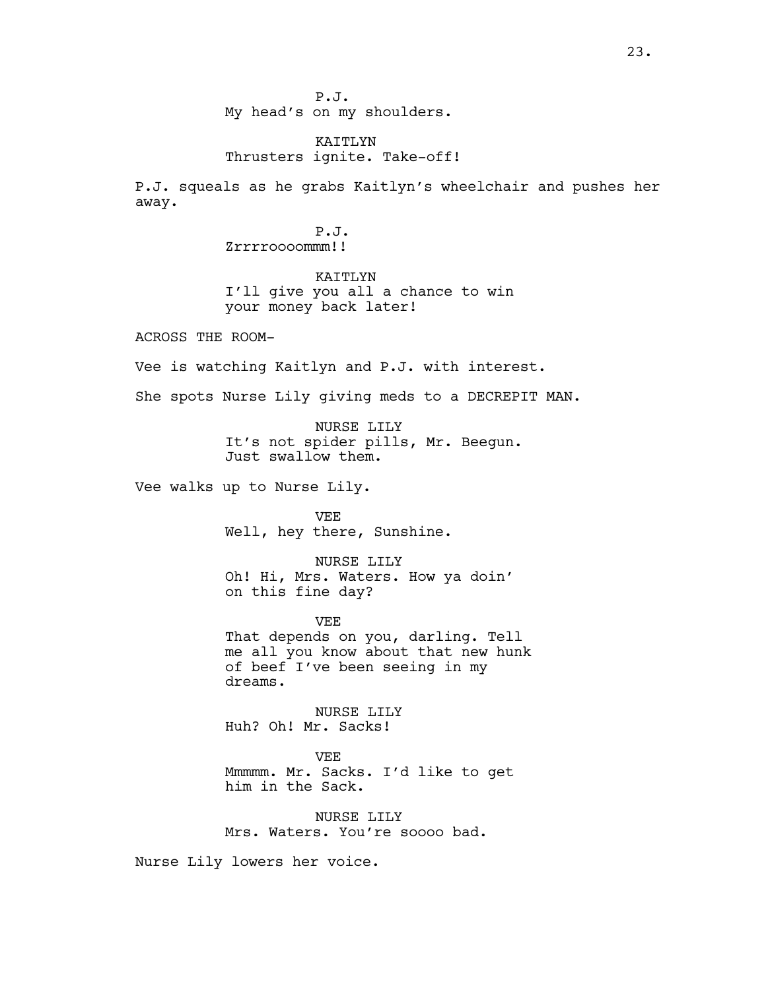P.J. My head's on my shoulders.

KAITLYN Thrusters ignite. Take-off!

P.J. squeals as he grabs Kaitlyn's wheelchair and pushes her away.

> P.J. Zrrrroooommm!!

KAITLYN I'll give you all a chance to win your money back later!

ACROSS THE ROOM-

Vee is watching Kaitlyn and P.J. with interest.

She spots Nurse Lily giving meds to a DECREPIT MAN.

NURSE LILY It's not spider pills, Mr. Beegun. Just swallow them.

Vee walks up to Nurse Lily.

VEE Well, hey there, Sunshine.

NURSE LILY Oh! Hi, Mrs. Waters. How ya doin' on this fine day?

VEE That depends on you, darling. Tell me all you know about that new hunk of beef I've been seeing in my dreams.

NURSE LILY Huh? Oh! Mr. Sacks!

VEE Mmmmm. Mr. Sacks. I'd like to get him in the Sack.

NURSE LILY Mrs. Waters. You're soooo bad.

Nurse Lily lowers her voice.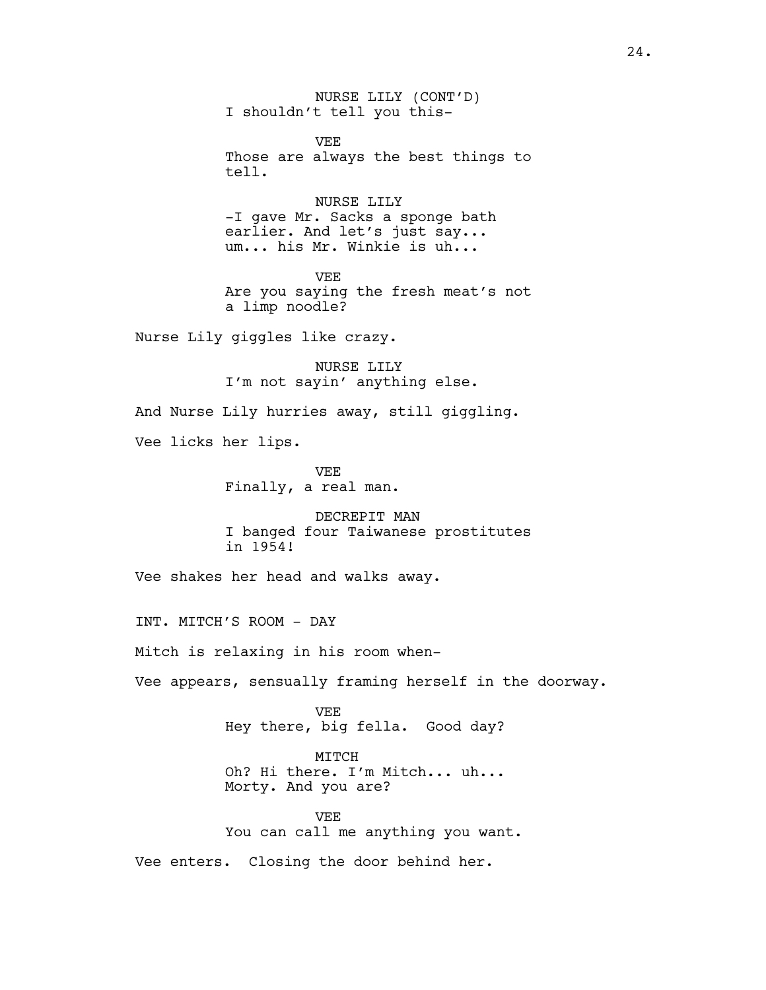NURSE LILY (CONT'D) I shouldn't tell you this-

VEE Those are always the best things to tell.

NURSE LILY -I gave Mr. Sacks a sponge bath earlier. And let's just say... um... his Mr. Winkie is uh...

VEE Are you saying the fresh meat's not a limp noodle?

Nurse Lily giggles like crazy.

NURSE LILY I'm not sayin' anything else.

And Nurse Lily hurries away, still giggling.

Vee licks her lips.

VEE Finally, a real man.

DECREPIT MAN I banged four Taiwanese prostitutes in 1954!

Vee shakes her head and walks away.

INT. MITCH'S ROOM - DAY

Mitch is relaxing in his room when-

Vee appears, sensually framing herself in the doorway.

VEE Hey there, big fella. Good day?

MTTCH Oh? Hi there. I'm Mitch... uh... Morty. And you are?

VEE You can call me anything you want.

Vee enters. Closing the door behind her.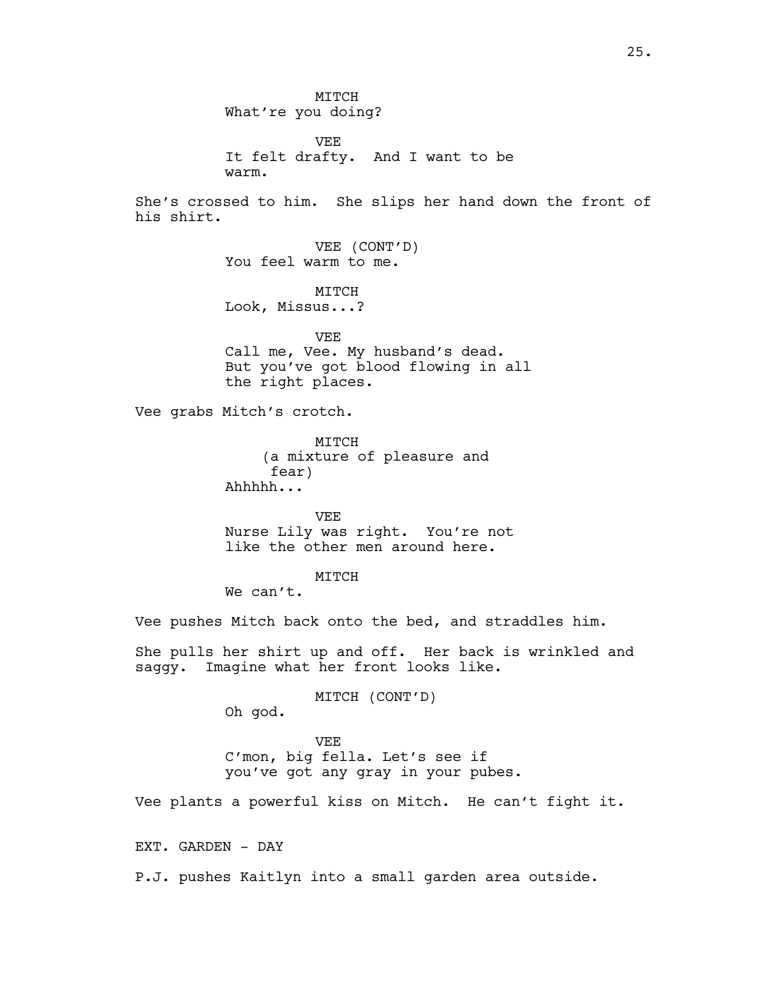VEE It felt drafty. And I want to be warm.

She's crossed to him. She slips her hand down the front of his shirt.

> VEE (CONT'D) You feel warm to me.

MTTCH Look, Missus...?

VEE Call me, Vee. My husband's dead. But you've got blood flowing in all the right places.

Vee grabs Mitch's crotch.

MITCH (a mixture of pleasure and fear) Ahhhhh...

VEE Nurse Lily was right. You're not like the other men around here.

MITCH

We can't.

Vee pushes Mitch back onto the bed, and straddles him.

She pulls her shirt up and off. Her back is wrinkled and saggy. Imagine what her front looks like.

MITCH (CONT'D)

Oh god.

VEE C'mon, big fella. Let's see if you've got any gray in your pubes.

Vee plants a powerful kiss on Mitch. He can't fight it.

EXT. GARDEN - DAY

P.J. pushes Kaitlyn into a small garden area outside.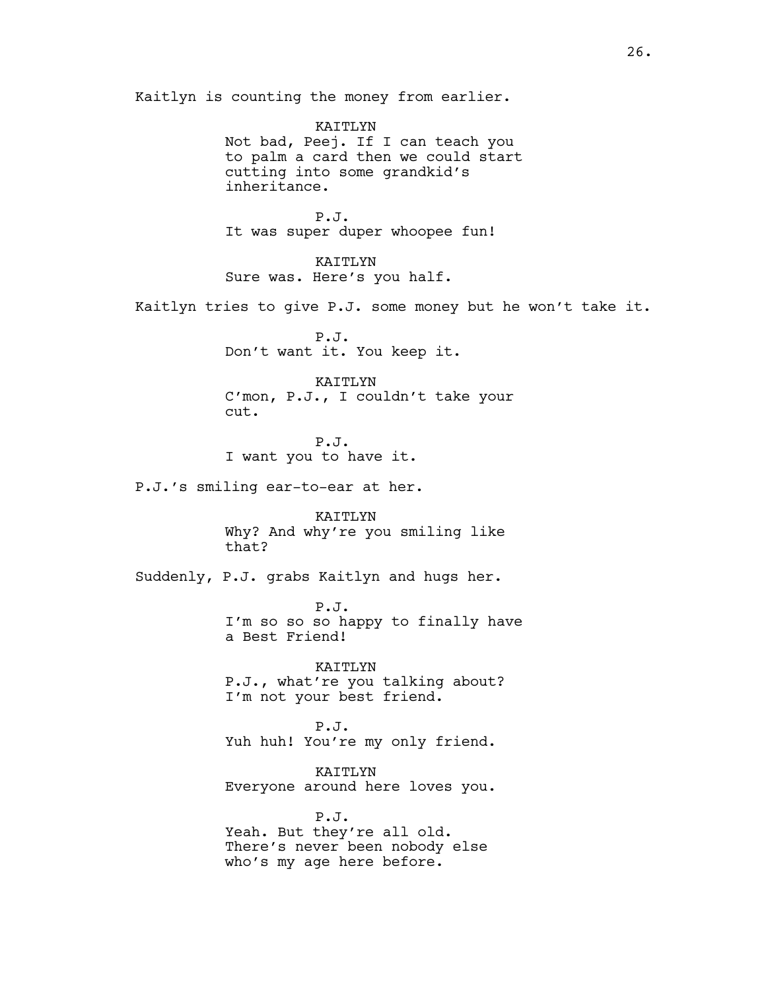Kaitlyn is counting the money from earlier.

KAITLYN Not bad, Peej. If I can teach you to palm a card then we could start cutting into some grandkid's inheritance.

P.J. It was super duper whoopee fun!

KAITLYN Sure was. Here's you half.

Kaitlyn tries to give P.J. some money but he won't take it.

P.J. Don't want it. You keep it.

KAITLYN

C'mon, P.J., I couldn't take your cut.

P.J. I want you to have it.

P.J.'s smiling ear-to-ear at her.

KAITLYN Why? And why're you smiling like that?

Suddenly, P.J. grabs Kaitlyn and hugs her.

P.J. I'm so so so happy to finally have a Best Friend!

KAITLYN P.J., what're you talking about? I'm not your best friend.

P.J. Yuh huh! You're my only friend.

KAITLYN Everyone around here loves you.

P.J. Yeah. But they're all old. There's never been nobody else who's my age here before.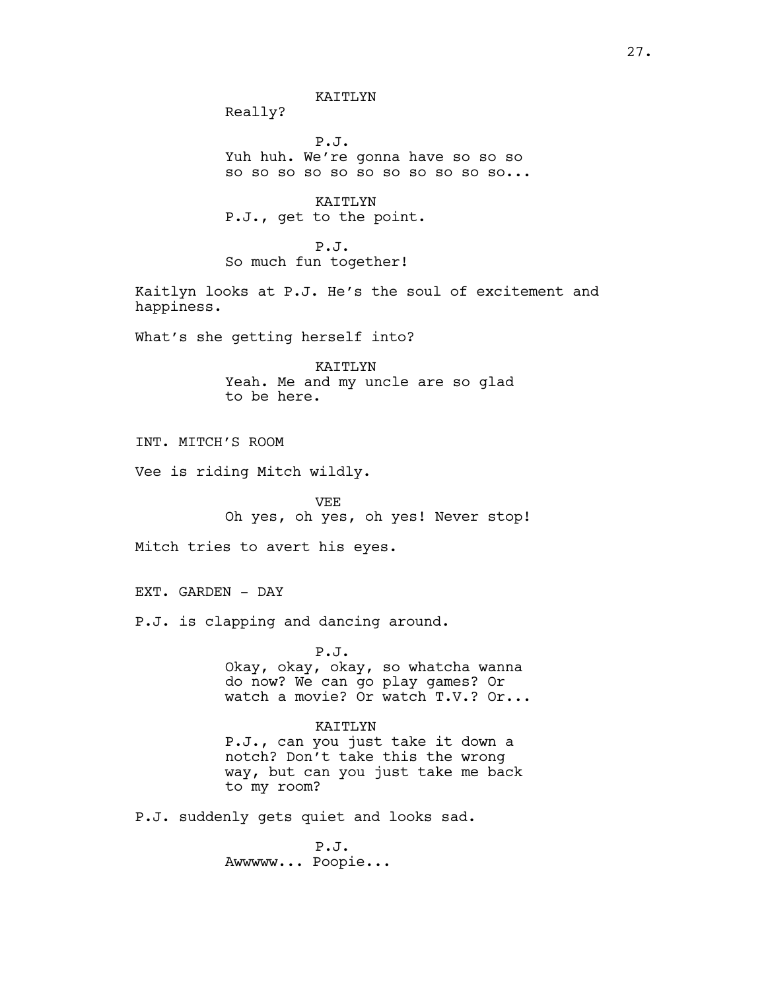KAITLYN Really? P.J. Yuh huh. We're gonna have so so so so so so so so so so so so so so... KAITLYN P.J., get to the point. P.J. So much fun together! Kaitlyn looks at P.J. He's the soul of excitement and happiness. What's she getting herself into? KAITLYN Yeah. Me and my uncle are so glad to be here. INT. MITCH'S ROOM Vee is riding Mitch wildly. VEE Oh yes, oh yes, oh yes! Never stop! Mitch tries to avert his eyes. EXT. GARDEN - DAY P.J. is clapping and dancing around. P.J. Okay, okay, okay, so whatcha wanna do now? We can go play games? Or watch a movie? Or watch T.V.? Or... KAITLYN P.J., can you just take it down a notch? Don't take this the wrong way, but can you just take me back to my room? P.J. suddenly gets quiet and looks sad.

P.J. Awwwww... Poopie...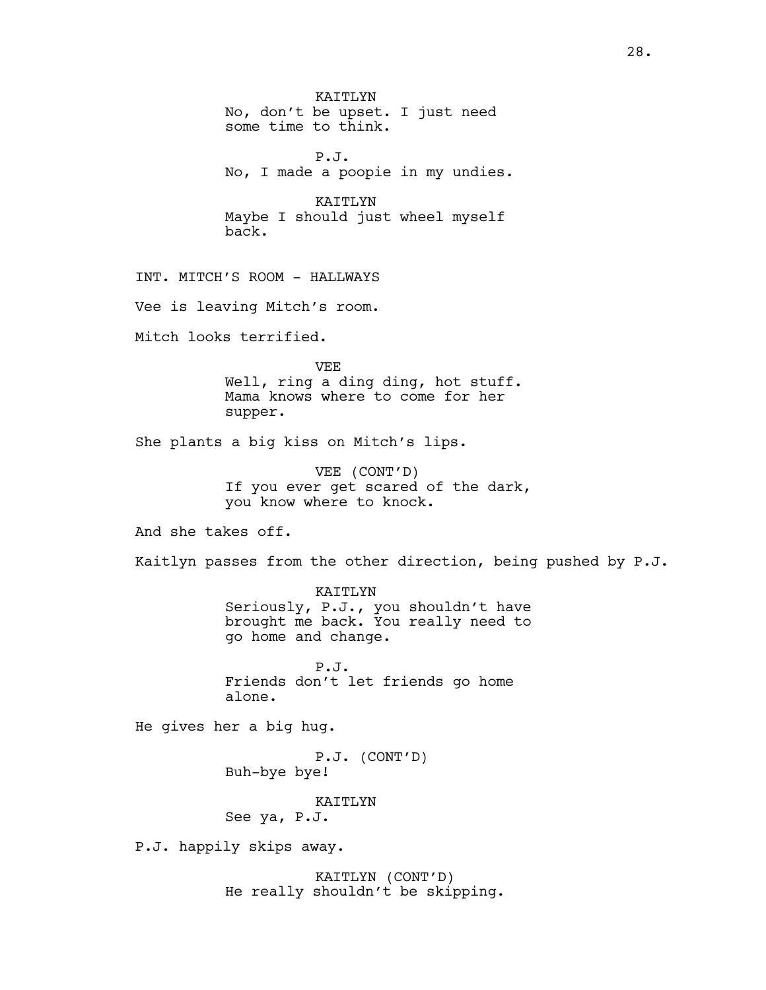KAITLYN No, don't be upset. I just need some time to think. P.J. No, I made a poopie in my undies. KAITLYN Maybe I should just wheel myself back. INT. MITCH'S ROOM - HALLWAYS Vee is leaving Mitch's room. Mitch looks terrified. VEE Well, ring a ding ding, hot stuff. Mama knows where to come for her supper. She plants a big kiss on Mitch's lips. VEE (CONT'D) If you ever get scared of the dark, you know where to knock. And she takes off. Kaitlyn passes from the other direction, being pushed by P.J. KAITLYN Seriously, P.J., you shouldn't have brought me back. You really need to go home and change. P.J. Friends don't let friends go home alone. He gives her a big hug. P.J. (CONT'D) Buh-bye bye! KAITLYN See ya, P.J. P.J. happily skips away. KAITLYN (CONT'D) He really shouldn't be skipping.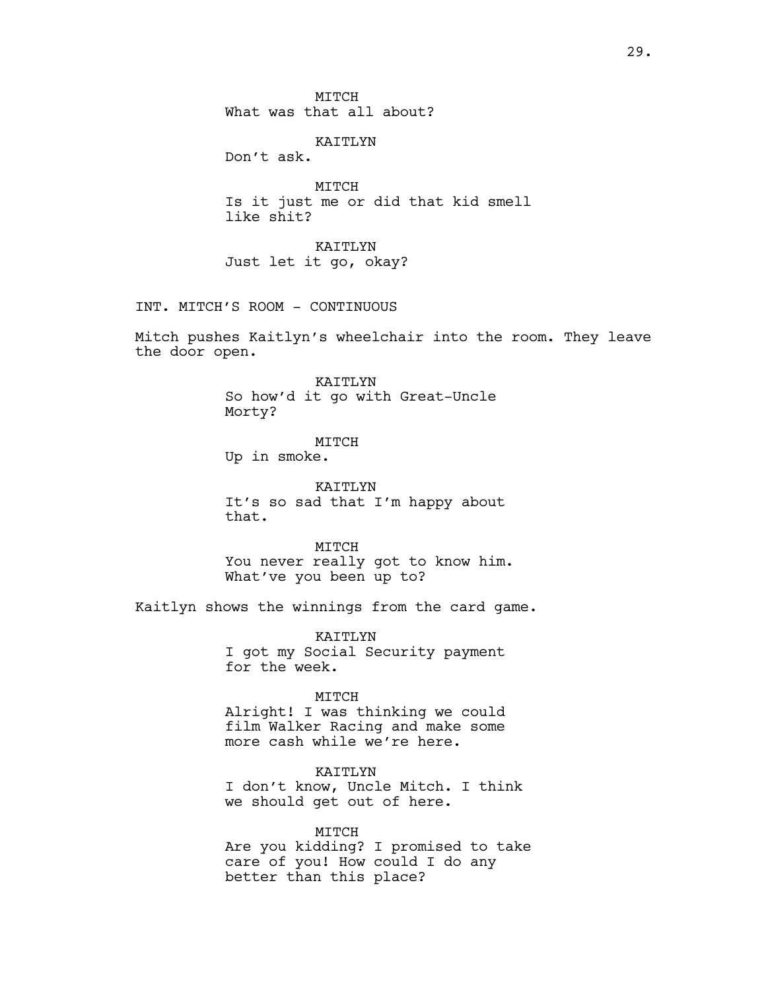MTTCH What was that all about?

KAITLYN

Don't ask.

MITCH Is it just me or did that kid smell like shit?

KAITLYN Just let it go, okay?

INT. MITCH'S ROOM - CONTINUOUS

Mitch pushes Kaitlyn's wheelchair into the room. They leave the door open.

> KAITLYN So how'd it go with Great-Uncle Morty?

MITCH Up in smoke.

KAITLYN It's so sad that I'm happy about that.

MITCH You never really got to know him. What've you been up to?

Kaitlyn shows the winnings from the card game.

KAITLYN I got my Social Security payment for the week.

#### MITCH

Alright! I was thinking we could film Walker Racing and make some more cash while we're here.

KAITLYN I don't know, Uncle Mitch. I think we should get out of here.

MITCH Are you kidding? I promised to take care of you! How could I do any better than this place?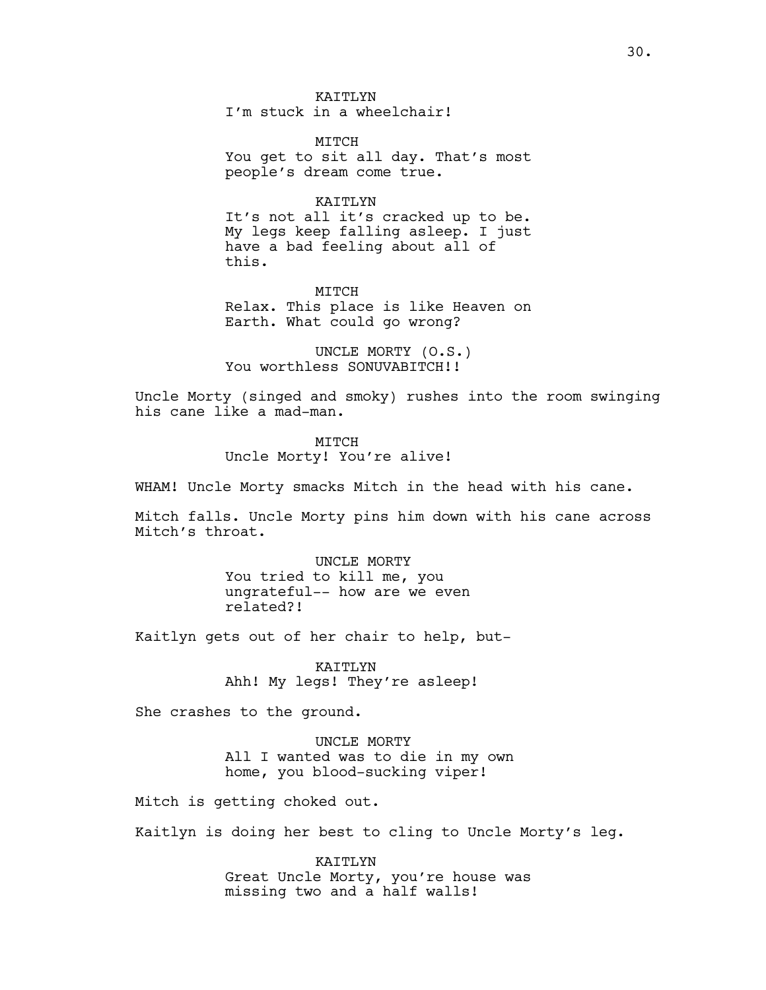KATTLYN I'm stuck in a wheelchair!

MTTCH You get to sit all day. That's most people's dream come true.

### KAITLYN

It's not all it's cracked up to be. My legs keep falling asleep. I just have a bad feeling about all of this.

MITCH Relax. This place is like Heaven on Earth. What could go wrong?

UNCLE MORTY (O.S.) You worthless SONUVABITCH!!

Uncle Morty (singed and smoky) rushes into the room swinging his cane like a mad-man.

> MITCH Uncle Morty! You're alive!

WHAM! Uncle Morty smacks Mitch in the head with his cane.

Mitch falls. Uncle Morty pins him down with his cane across Mitch's throat.

> UNCLE MORTY You tried to kill me, you ungrateful-- how are we even related?!

Kaitlyn gets out of her chair to help, but-

KAITLYN Ahh! My legs! They're asleep!

She crashes to the ground.

UNCLE MORTY All I wanted was to die in my own home, you blood-sucking viper!

Mitch is getting choked out.

Kaitlyn is doing her best to cling to Uncle Morty's leg.

KAITLYN Great Uncle Morty, you're house was missing two and a half walls!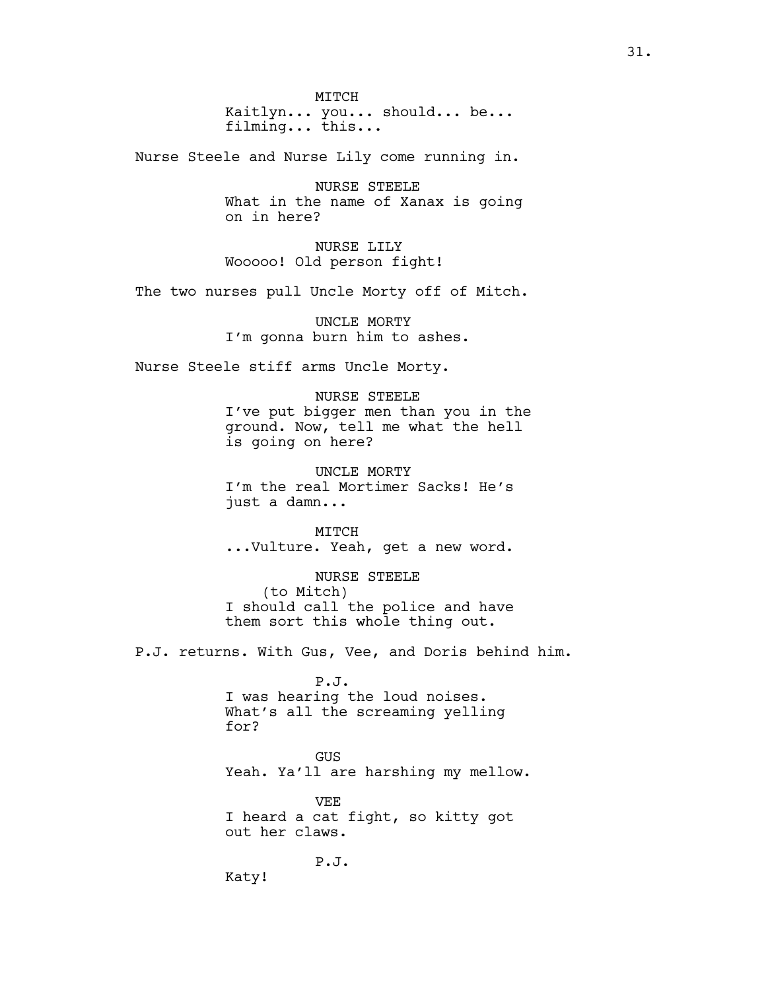MITCH Kaitlyn... you... should... be... filming... this...

Nurse Steele and Nurse Lily come running in.

NURSE STEELE What in the name of Xanax is going on in here?

NURSE LILY Wooooo! Old person fight!

The two nurses pull Uncle Morty off of Mitch.

UNCLE MORTY I'm gonna burn him to ashes.

Nurse Steele stiff arms Uncle Morty.

NURSE STEELE I've put bigger men than you in the ground. Now, tell me what the hell is going on here?

UNCLE MORTY I'm the real Mortimer Sacks! He's just a damn...

MITCH ...Vulture. Yeah, get a new word.

NURSE STEELE (to Mitch) I should call the police and have them sort this whole thing out.

P.J. returns. With Gus, Vee, and Doris behind him.

P.J. I was hearing the loud noises. What's all the screaming yelling for?

GUS Yeah. Ya'll are harshing my mellow.

VEE I heard a cat fight, so kitty got out her claws.

P.J.

Katy!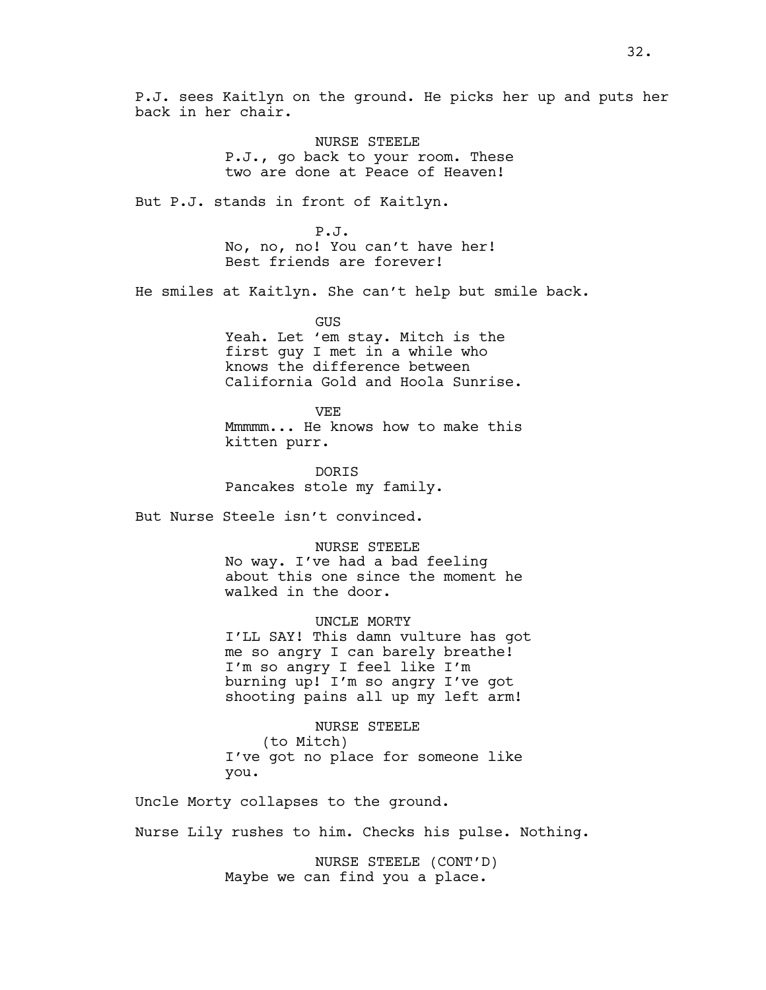P.J. sees Kaitlyn on the ground. He picks her up and puts her back in her chair.

> NURSE STEELE P.J., go back to your room. These two are done at Peace of Heaven!

But P.J. stands in front of Kaitlyn.

P.J. No, no, no! You can't have her! Best friends are forever!

He smiles at Kaitlyn. She can't help but smile back.

GUS Yeah. Let 'em stay. Mitch is the first guy I met in a while who knows the difference between California Gold and Hoola Sunrise.

VEE Mmmmm... He knows how to make this kitten purr.

DORIS Pancakes stole my family.

But Nurse Steele isn't convinced.

NURSE STEELE

No way. I've had a bad feeling about this one since the moment he walked in the door.

UNCLE MORTY

I'LL SAY! This damn vulture has got me so angry I can barely breathe! I'm so angry I feel like I'm burning up! I'm so angry I've got shooting pains all up my left arm!

NURSE STEELE

(to Mitch) I've got no place for someone like you.

Uncle Morty collapses to the ground.

Nurse Lily rushes to him. Checks his pulse. Nothing.

NURSE STEELE (CONT'D) Maybe we can find you a place.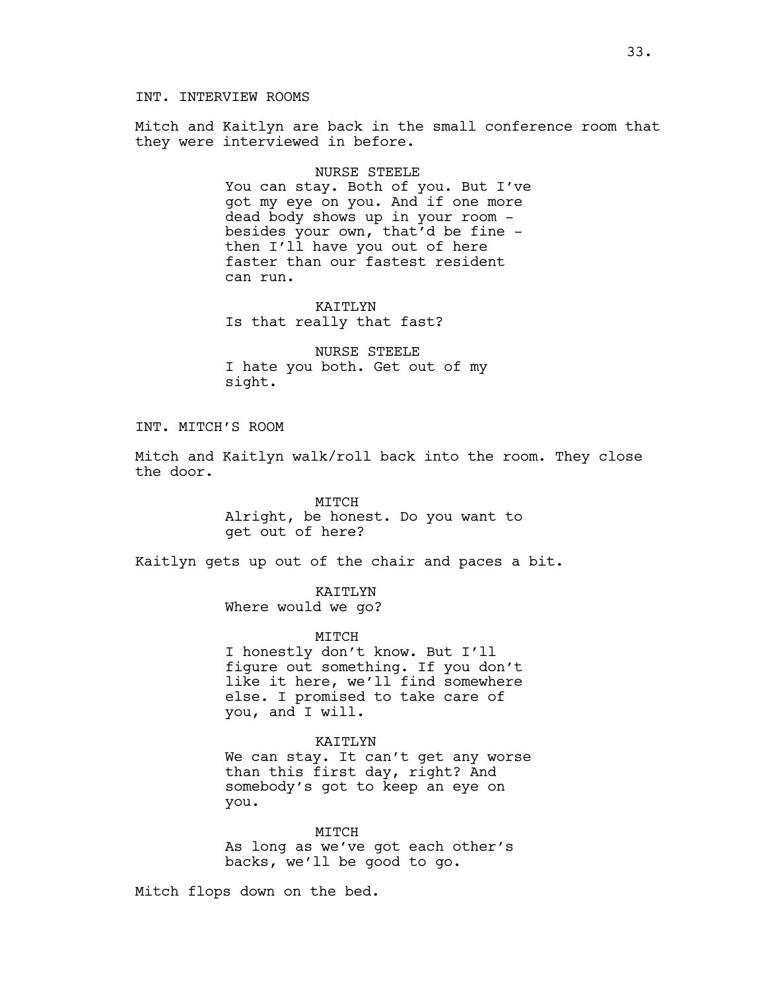### INT. INTERVIEW ROOMS

Mitch and Kaitlyn are back in the small conference room that they were interviewed in before.

### NURSE STEELE

You can stay. Both of you. But I've got my eye on you. And if one more dead body shows up in your room besides your own, that'd be fine then I'll have you out of here faster than our fastest resident can run.

KAITLYN Is that really that fast?

NURSE STEELE I hate you both. Get out of my sight.

## INT. MITCH'S ROOM

Mitch and Kaitlyn walk/roll back into the room. They close the door.

> MITCH Alright, be honest. Do you want to get out of here?

Kaitlyn gets up out of the chair and paces a bit.

KAITLYN Where would we go?

MITCH

I honestly don't know. But I'll figure out something. If you don't like it here, we'll find somewhere else. I promised to take care of you, and I will.

#### KAITLYN

We can stay. It can't get any worse than this first day, right? And somebody's got to keep an eye on you.

MITCH As long as we've got each other's backs, we'll be good to go.

Mitch flops down on the bed.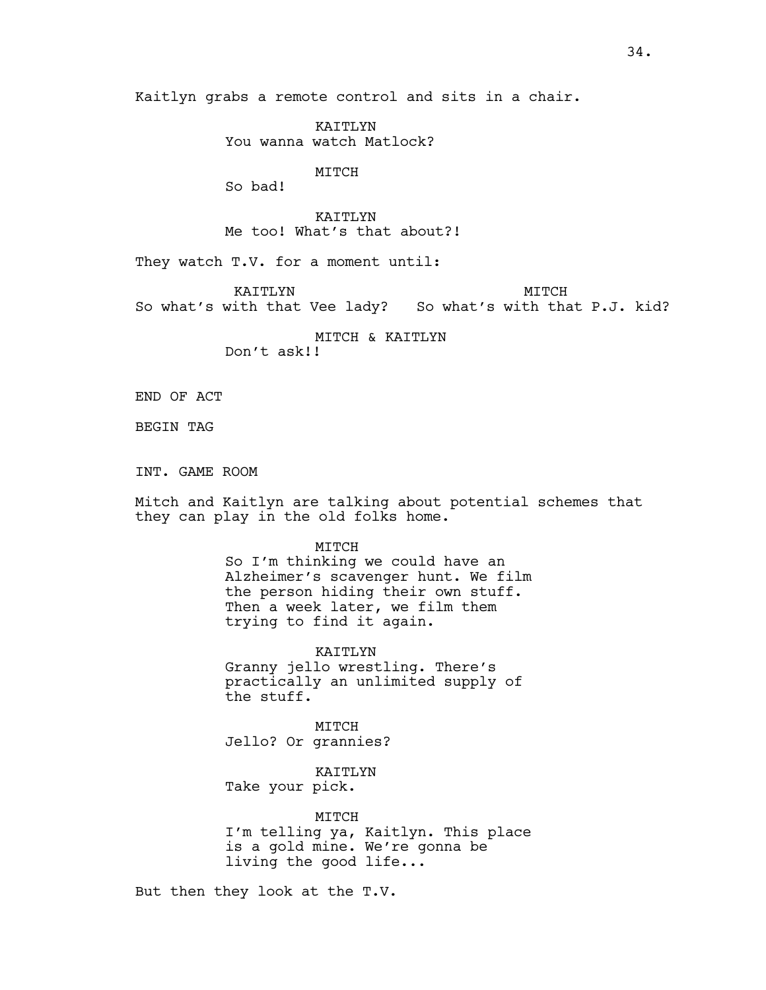Kaitlyn grabs a remote control and sits in a chair.

KAITLYN You wanna watch Matlock?

MITCH

So bad!

KAITLYN Me too! What's that about?!

They watch T.V. for a moment until:

KAITLYN So what's with that Vee lady? So what's with that P.J. kid? MITCH

MITCH & KAITLYN

Don't ask!!

END OF ACT

BEGIN TAG

INT. GAME ROOM

Mitch and Kaitlyn are talking about potential schemes that they can play in the old folks home.

### MITCH

So I'm thinking we could have an Alzheimer's scavenger hunt. We film the person hiding their own stuff. Then a week later, we film them trying to find it again.

KAITLYN Granny jello wrestling. There's practically an unlimited supply of the stuff.

MITCH Jello? Or grannies?

KAITLYN Take your pick.

MITCH I'm telling ya, Kaitlyn. This place is a gold mine. We're gonna be living the good life...

But then they look at the T.V.